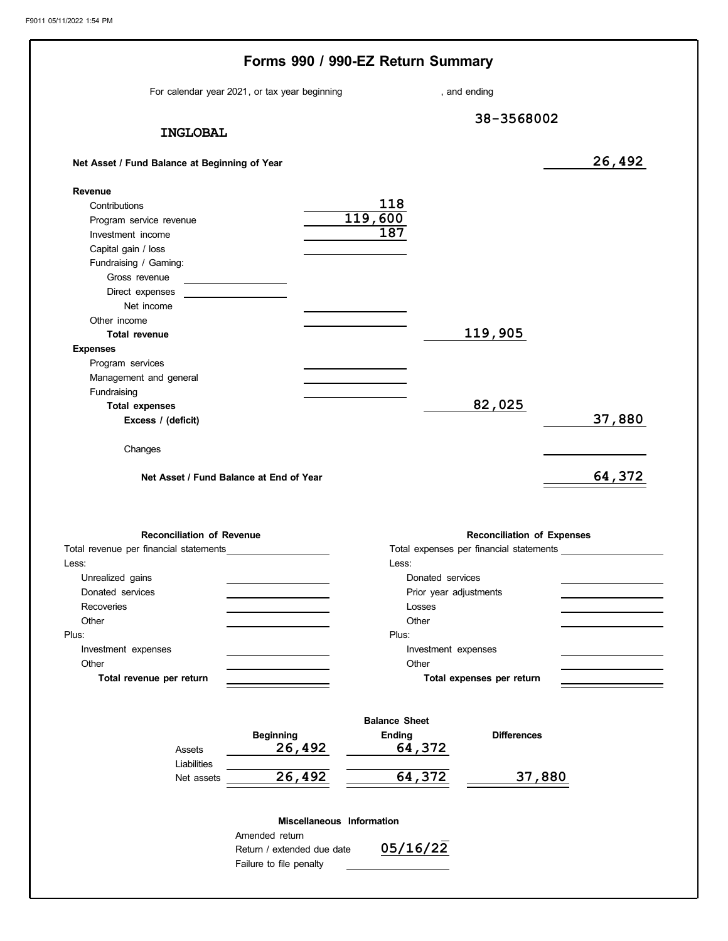|                                               | For calendar year 2021, or tax year beginning  | , and ending                 |                                   |        |
|-----------------------------------------------|------------------------------------------------|------------------------------|-----------------------------------|--------|
|                                               |                                                |                              |                                   |        |
| <b>INGLOBAL</b>                               |                                                |                              | 38-3568002                        |        |
|                                               |                                                |                              |                                   |        |
| Net Asset / Fund Balance at Beginning of Year |                                                |                              |                                   | 26,492 |
| Revenue                                       |                                                |                              |                                   |        |
| Contributions                                 |                                                | 118                          |                                   |        |
| Program service revenue                       |                                                | 119,600                      |                                   |        |
| Investment income                             |                                                | 187                          |                                   |        |
| Capital gain / loss                           |                                                |                              |                                   |        |
| Fundraising / Gaming:                         |                                                |                              |                                   |        |
| Gross revenue                                 | <u> 1989 - Johann Barnett, fransk kongresu</u> |                              |                                   |        |
| Direct expenses<br>Net income                 |                                                |                              |                                   |        |
| Other income                                  |                                                |                              |                                   |        |
| <b>Total revenue</b>                          |                                                |                              | 119,905                           |        |
| <b>Expenses</b>                               |                                                |                              |                                   |        |
| Program services                              |                                                |                              |                                   |        |
| Management and general                        |                                                |                              |                                   |        |
| Fundraising                                   |                                                |                              |                                   |        |
| <b>Total expenses</b>                         |                                                |                              | 82,025                            |        |
| Excess / (deficit)                            |                                                |                              |                                   | 37,880 |
| Changes                                       | Net Asset / Fund Balance at End of Year        |                              |                                   |        |
| <b>Reconciliation of Revenue</b>              |                                                |                              | <b>Reconciliation of Expenses</b> |        |
| Total revenue per financial statements        |                                                |                              |                                   |        |
| Less:                                         |                                                | Less:                        |                                   |        |
| Unrealized gains                              |                                                | Donated services             |                                   |        |
| Donated services                              |                                                | Prior year adjustments       |                                   |        |
| Recoveries                                    |                                                | Losses                       |                                   |        |
| Other<br>Plus:                                |                                                | Other<br>Plus:               |                                   |        |
|                                               |                                                |                              |                                   |        |
| Investment expenses<br>Other                  |                                                | Investment expenses<br>Other |                                   |        |
| Total revenue per return                      |                                                |                              | Total expenses per return         |        |
|                                               |                                                | <b>Balance Sheet</b>         |                                   |        |
|                                               |                                                |                              | <b>Differences</b>                |        |
| Assets                                        | <b>Beginning</b><br>26,492                     | <b>Ending</b><br>64,372      |                                   |        |
| Liabilities<br>Net assets                     | 26,492                                         | 64,372                       | 37,880                            |        |
|                                               |                                                |                              |                                   |        |
|                                               | Miscellaneous Information<br>Amended return    |                              |                                   | 64,372 |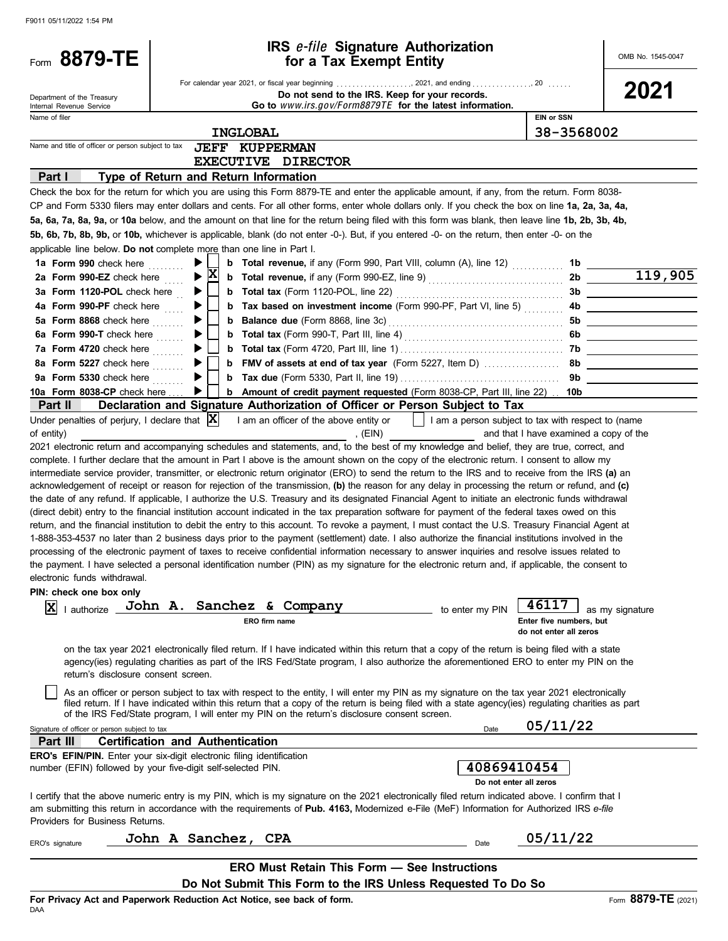| Form 8879-TE                                              | <b>IRS e-file Signature Authorization</b><br>for a Tax Exempt Entity                                                                                                                                                                                |                                        | OMB No. 1545-0047                     |
|-----------------------------------------------------------|-----------------------------------------------------------------------------------------------------------------------------------------------------------------------------------------------------------------------------------------------------|----------------------------------------|---------------------------------------|
|                                                           |                                                                                                                                                                                                                                                     |                                        |                                       |
| Department of the Treasury                                | Do not send to the IRS. Keep for your records.                                                                                                                                                                                                      |                                        | 2021                                  |
| Internal Revenue Service<br>Name of filer                 | Go to www.irs.gov/Form8879TE for the latest information.                                                                                                                                                                                            | <b>EIN or SSN</b>                      |                                       |
|                                                           |                                                                                                                                                                                                                                                     |                                        |                                       |
| Name and title of officer or person subject to tax        | <b>INGLOBAL</b><br><b>JEFF KUPPERMAN</b>                                                                                                                                                                                                            | 38-3568002                             |                                       |
|                                                           | EXECUTIVE DIRECTOR                                                                                                                                                                                                                                  |                                        |                                       |
| Part I                                                    | Type of Return and Return Information                                                                                                                                                                                                               |                                        |                                       |
|                                                           | Check the box for the return for which you are using this Form 8879-TE and enter the applicable amount, if any, from the return. Form 8038-                                                                                                         |                                        |                                       |
|                                                           | CP and Form 5330 filers may enter dollars and cents. For all other forms, enter whole dollars only. If you check the box on line 1a, 2a, 3a, 4a,                                                                                                    |                                        |                                       |
|                                                           | 5a, 6a, 7a, 8a, 9a, or 10a below, and the amount on that line for the return being filed with this form was blank, then leave line 1b, 2b, 3b, 4b,                                                                                                  |                                        |                                       |
|                                                           | 5b, 6b, 7b, 8b, 9b, or 10b, whichever is applicable, blank (do not enter -0-). But, if you entered -0- on the return, then enter -0- on the                                                                                                         |                                        |                                       |
|                                                           | applicable line below. Do not complete more than one line in Part I.                                                                                                                                                                                |                                        |                                       |
| 1a Form 990 check here                                    | <b>b</b> Total revenue, if any (Form 990, Part VIII, column (A), line 12)<br>▶                                                                                                                                                                      | 1b                                     |                                       |
| 2a Form 990-EZ check here                                 | X                                                                                                                                                                                                                                                   |                                        | $\frac{1b}{2b}$ $\frac{119,905}{119}$ |
| 3a Form 1120-POL check here                               |                                                                                                                                                                                                                                                     |                                        |                                       |
| 4a Form 990-PF check here                                 | <b>b</b> Tax based on investment income (Form 990-PF, Part VI, line 5)                                                                                                                                                                              |                                        |                                       |
| 5a Form 8868 check here                                   |                                                                                                                                                                                                                                                     |                                        |                                       |
| 6a Form 990-T check here                                  |                                                                                                                                                                                                                                                     |                                        |                                       |
| 7a Form 4720 check here                                   |                                                                                                                                                                                                                                                     |                                        |                                       |
| 8a Form 5227 check here                                   |                                                                                                                                                                                                                                                     |                                        |                                       |
| 9a Form 5330 check here <b>Supplem</b>                    | ▶                                                                                                                                                                                                                                                   |                                        | 9b                                    |
| 10a Form 8038-CP check here                               | <b>b</b> Amount of credit payment requested (Form 8038-CP, Part III, line 22) . 10b<br>▶│                                                                                                                                                           |                                        |                                       |
| Part II                                                   | Declaration and Signature Authorization of Officer or Person Subject to Tax                                                                                                                                                                         |                                        |                                       |
| Under penalties of perjury, I declare that $ \mathbf{X} $ | I am an officer of the above entity or $\vert \vert$ I am a person subject to tax with respect to (name                                                                                                                                             |                                        |                                       |
| of entity)                                                | , $(EIN)$<br><u> 1990 - Jan Barnett, p</u>                                                                                                                                                                                                          | and that I have examined a copy of the |                                       |
|                                                           | 2021 electronic return and accompanying schedules and statements, and, to the best of my knowledge and belief, they are true, correct, and                                                                                                          |                                        |                                       |
|                                                           | complete. I further declare that the amount in Part I above is the amount shown on the copy of the electronic return. I consent to allow my                                                                                                         |                                        |                                       |
|                                                           | intermediate service provider, transmitter, or electronic return originator (ERO) to send the return to the IRS and to receive from the IRS (a) an                                                                                                  |                                        |                                       |
|                                                           | acknowledgement of receipt or reason for rejection of the transmission, (b) the reason for any delay in processing the return or refund, and (c)                                                                                                    |                                        |                                       |
|                                                           | the date of any refund. If applicable, I authorize the U.S. Treasury and its designated Financial Agent to initiate an electronic funds withdrawal                                                                                                  |                                        |                                       |
|                                                           | (direct debit) entry to the financial institution account indicated in the tax preparation software for payment of the federal taxes owed on this                                                                                                   |                                        |                                       |
|                                                           | return, and the financial institution to debit the entry to this account. To revoke a payment, I must contact the U.S. Treasury Financial Agent at                                                                                                  |                                        |                                       |
|                                                           | 1-888-353-4537 no later than 2 business days prior to the payment (settlement) date. I also authorize the financial institutions involved in the                                                                                                    |                                        |                                       |
|                                                           | processing of the electronic payment of taxes to receive confidential information necessary to answer inquiries and resolve issues related to                                                                                                       |                                        |                                       |
|                                                           | the payment. I have selected a personal identification number (PIN) as my signature for the electronic return and, if applicable, the consent to                                                                                                    |                                        |                                       |
| electronic funds withdrawal.                              |                                                                                                                                                                                                                                                     |                                        |                                       |
| PIN: check one box only                                   |                                                                                                                                                                                                                                                     |                                        |                                       |
| ΙX<br>I authorize                                         | John A. Sanchez & Company<br>to enter my PIN                                                                                                                                                                                                        |                                        | as my signature                       |
|                                                           | ERO firm name                                                                                                                                                                                                                                       | Enter five numbers, but                |                                       |
|                                                           |                                                                                                                                                                                                                                                     | do not enter all zeros                 |                                       |
|                                                           | on the tax year 2021 electronically filed return. If I have indicated within this return that a copy of the return is being filed with a state                                                                                                      |                                        |                                       |
|                                                           | agency(ies) requlating charities as part of the IRS Fed/State program, I also authorize the aforementioned ERO to enter my PIN on the                                                                                                               |                                        |                                       |
| return's disclosure consent screen.                       |                                                                                                                                                                                                                                                     |                                        |                                       |
|                                                           | As an officer or person subject to tax with respect to the entity, I will enter my PIN as my signature on the tax year 2021 electronically                                                                                                          |                                        |                                       |
|                                                           | filed return. If I have indicated within this return that a copy of the return is being filed with a state agency(ies) regulating charities as part<br>of the IRS Fed/State program, I will enter my PIN on the return's disclosure consent screen. |                                        |                                       |
| Signature of officer or person subject to tax             | Date                                                                                                                                                                                                                                                | 05/11/22                               |                                       |
| Part III                                                  | <b>Certification and Authentication</b>                                                                                                                                                                                                             |                                        |                                       |
|                                                           | <b>ERO's EFIN/PIN.</b> Enter your six-digit electronic filing identification                                                                                                                                                                        |                                        |                                       |
|                                                           | 40869410454<br>number (EFIN) followed by your five-digit self-selected PIN.                                                                                                                                                                         |                                        |                                       |
|                                                           | Do not enter all zeros                                                                                                                                                                                                                              |                                        |                                       |
|                                                           | I certify that the above numeric entry is my PIN, which is my signature on the 2021 electronically filed return indicated above. I confirm that I                                                                                                   |                                        |                                       |
|                                                           | am submitting this return in accordance with the requirements of Pub. 4163, Modernized e-File (MeF) Information for Authorized IRS e-file                                                                                                           |                                        |                                       |
| Providers for Business Returns.                           |                                                                                                                                                                                                                                                     |                                        |                                       |
|                                                           | John A Sanchez, CPA                                                                                                                                                                                                                                 | 05/11/22                               |                                       |
| ERO's signature                                           | Date                                                                                                                                                                                                                                                |                                        |                                       |
|                                                           | <b>ERO Must Retain This Form - See Instructions</b>                                                                                                                                                                                                 |                                        |                                       |
|                                                           | Do Not Submit This Form to the IRS Unless Requested To Do So                                                                                                                                                                                        |                                        |                                       |
|                                                           | For Privacy Act and Panerwork Reduction Act Notice, see back of form.                                                                                                                                                                               |                                        | Eorm 8879-TE (2021)                   |

FOF<br>DAA cy Act and Paperwork Reduction Act Notice, see back of form.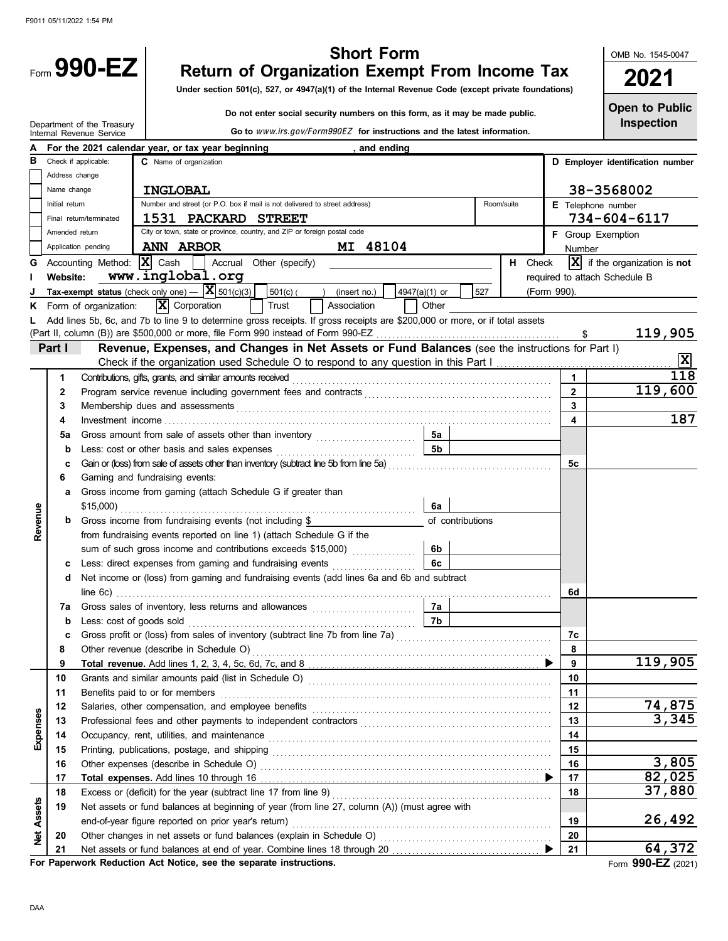|                   |                | Form $990-EZ$                                                         |                                     |                                                                                                 |                         | <b>Short Form</b><br><b>Return of Organization Exempt From Income Tax</b><br>Under section 501(c), 527, or 4947(a)(1) of the Internal Revenue Code (except private foundations)                                                           |               |                |                  |            |             |                         | OMB No. 1545-0047<br>2021                 |
|-------------------|----------------|-----------------------------------------------------------------------|-------------------------------------|-------------------------------------------------------------------------------------------------|-------------------------|-------------------------------------------------------------------------------------------------------------------------------------------------------------------------------------------------------------------------------------------|---------------|----------------|------------------|------------|-------------|-------------------------|-------------------------------------------|
|                   |                |                                                                       |                                     |                                                                                                 |                         |                                                                                                                                                                                                                                           |               |                |                  |            |             |                         |                                           |
|                   |                |                                                                       |                                     |                                                                                                 |                         | Do not enter social security numbers on this form, as it may be made public.                                                                                                                                                              |               |                |                  |            |             |                         | <b>Open to Public</b><br>Inspection       |
|                   |                | Department of the Treasury<br>Internal Revenue Service                |                                     |                                                                                                 |                         | Go to www.irs.gov/Form990EZ for instructions and the latest information.                                                                                                                                                                  |               |                |                  |            |             |                         |                                           |
|                   |                | For the 2021 calendar year, or tax year beginning                     |                                     |                                                                                                 |                         |                                                                                                                                                                                                                                           | , and ending  |                |                  |            |             |                         |                                           |
| в                 |                | Check if applicable:                                                  | C Name of organization              |                                                                                                 |                         |                                                                                                                                                                                                                                           |               |                |                  |            |             |                         | D Employer identification number          |
|                   | Address change |                                                                       |                                     |                                                                                                 |                         |                                                                                                                                                                                                                                           |               |                |                  |            |             |                         |                                           |
|                   | Name change    |                                                                       | <b>INGLOBAL</b>                     |                                                                                                 |                         |                                                                                                                                                                                                                                           |               |                |                  |            |             |                         | 38-3568002                                |
|                   | Initial return |                                                                       |                                     |                                                                                                 |                         | Number and street (or P.O. box if mail is not delivered to street address)                                                                                                                                                                |               |                |                  | Room/suite |             |                         | E Telephone number                        |
|                   |                | Final return/terminated                                               |                                     | 1531 PACKARD STREET<br>City or town, state or province, country, and ZIP or foreign postal code |                         |                                                                                                                                                                                                                                           |               |                |                  |            |             | 734-604-6117            |                                           |
|                   | Amended return |                                                                       |                                     |                                                                                                 |                         |                                                                                                                                                                                                                                           |               |                |                  |            |             |                         | F Group Exemption                         |
|                   |                | Application pending                                                   | <b>ANN ARBOR</b>                    |                                                                                                 |                         | MI 48104                                                                                                                                                                                                                                  |               |                |                  |            |             | Number                  |                                           |
|                   |                | Accounting Method:                                                    | $ \mathbf{X} $ Cash                 |                                                                                                 | Accrual Other (specify) |                                                                                                                                                                                                                                           |               |                |                  | H Check    |             |                         | $ \mathbf{X} $ if the organization is not |
|                   | Website:       |                                                                       |                                     | www.inglobal.org                                                                                |                         |                                                                                                                                                                                                                                           |               |                |                  |            |             |                         | required to attach Schedule B             |
|                   |                | Tax-exempt status (check only one) $  \mathbf{X} $ 501(c)(3)          | $\overline{\mathbf{X}}$ Corporation |                                                                                                 | $501(c)$ ( )<br>Trust   | (insert no.)<br>Association                                                                                                                                                                                                               | 4947(a)(1) or | Other          | 527              |            | (Form 990). |                         |                                           |
| ĸ                 |                | Form of organization:                                                 |                                     |                                                                                                 |                         | Add lines 5b, 6c, and 7b to line 9 to determine gross receipts. If gross receipts are \$200,000 or more, or if total assets                                                                                                               |               |                |                  |            |             |                         |                                           |
|                   |                |                                                                       |                                     |                                                                                                 |                         |                                                                                                                                                                                                                                           |               |                |                  |            |             |                         | 119,905                                   |
|                   | Part I         |                                                                       |                                     |                                                                                                 |                         | Revenue, Expenses, and Changes in Net Assets or Fund Balances (see the instructions for Part I)                                                                                                                                           |               |                |                  |            |             |                         |                                           |
|                   |                |                                                                       |                                     |                                                                                                 |                         |                                                                                                                                                                                                                                           |               |                |                  |            |             |                         | $\overline{\mathbf{x}}$                   |
|                   | 1              |                                                                       |                                     |                                                                                                 |                         | Contributions, gifts, grants, and similar amounts received with an accommodal contributions, gifts, grants, and similar amounts received                                                                                                  |               |                |                  |            |             | $\mathbf{1}$            | 118                                       |
|                   | 2              |                                                                       |                                     |                                                                                                 |                         |                                                                                                                                                                                                                                           |               |                |                  |            |             | $\overline{2}$          | 119,600                                   |
|                   | 3              |                                                                       |                                     |                                                                                                 |                         | Membership dues and assessments <b>contained a state of a state of a state of a state of a state of a state of a state of a state of a state of a state of a state of a state of a state of a state of a state of a state of a s</b>      |               |                |                  |            |             | $\overline{3}$          |                                           |
|                   | 4              |                                                                       |                                     |                                                                                                 |                         |                                                                                                                                                                                                                                           |               |                |                  |            |             | $\overline{\mathbf{4}}$ | 187                                       |
|                   | 5a             |                                                                       |                                     |                                                                                                 |                         |                                                                                                                                                                                                                                           |               | 5а             |                  |            |             |                         |                                           |
|                   | b              |                                                                       |                                     |                                                                                                 |                         |                                                                                                                                                                                                                                           |               | 5 <sub>b</sub> |                  |            |             |                         |                                           |
|                   | с              |                                                                       |                                     |                                                                                                 |                         | Gain or (loss) from sale of assets other than inventory (subtract line 5b from line 5a)                                                                                                                                                   |               |                |                  |            |             | 5с                      |                                           |
|                   | 6              | Gaming and fundraising events:                                        |                                     |                                                                                                 |                         |                                                                                                                                                                                                                                           |               |                |                  |            |             |                         |                                           |
|                   | a              | Gross income from gaming (attach Schedule G if greater than           |                                     |                                                                                                 |                         |                                                                                                                                                                                                                                           |               |                |                  |            |             |                         |                                           |
|                   |                |                                                                       |                                     |                                                                                                 |                         |                                                                                                                                                                                                                                           |               | 6a             |                  |            |             |                         |                                           |
| Revenue           |                | Gross income from fundraising events (not including \$                |                                     |                                                                                                 |                         |                                                                                                                                                                                                                                           |               |                | of contributions |            |             |                         |                                           |
|                   |                | from fundraising events reported on line 1) (attach Schedule G if the |                                     |                                                                                                 |                         |                                                                                                                                                                                                                                           |               |                |                  |            |             |                         |                                           |
|                   |                |                                                                       |                                     |                                                                                                 |                         | sum of such gross income and contributions exceeds \$15,000)                                                                                                                                                                              |               | 6b             |                  |            |             |                         |                                           |
|                   | c              |                                                                       |                                     |                                                                                                 |                         | Less: direct expenses from gaming and fundraising events                                                                                                                                                                                  |               | 6с             |                  |            |             |                         |                                           |
|                   | d              |                                                                       |                                     |                                                                                                 |                         | Net income or (loss) from gaming and fundraising events (add lines 6a and 6b and subtract                                                                                                                                                 |               |                |                  |            |             |                         |                                           |
|                   | 7a             |                                                                       |                                     |                                                                                                 |                         |                                                                                                                                                                                                                                           |               | 7a             |                  |            |             | 6d                      |                                           |
|                   | b              |                                                                       |                                     |                                                                                                 |                         | Less: cost of goods sold with a cost of goods sold with a cost of goods sold with a cost of goods sold with a cost of the cost of the cost of the cost of the cost of the cost of the cost of the cost of the cost of the cost            |               | 7b             |                  |            |             |                         |                                           |
|                   | c              |                                                                       |                                     |                                                                                                 |                         |                                                                                                                                                                                                                                           |               |                |                  |            |             | 7c                      |                                           |
|                   | 8              |                                                                       |                                     |                                                                                                 |                         |                                                                                                                                                                                                                                           |               |                |                  |            |             | 8                       |                                           |
|                   | 9              |                                                                       |                                     |                                                                                                 |                         |                                                                                                                                                                                                                                           |               |                |                  |            |             | 9                       | 119,905                                   |
|                   | 10             |                                                                       |                                     |                                                                                                 |                         |                                                                                                                                                                                                                                           |               |                |                  |            |             | 10                      |                                           |
|                   | 11             |                                                                       |                                     |                                                                                                 |                         | Benefits paid to or for members <b>contained</b> and <b>contained a set of the set of the set of the set of the set of the set of the set of the set of the set of the set of the set of the set of the set of the set of the set of </b> |               |                |                  |            |             | 11                      |                                           |
|                   | 12             |                                                                       |                                     |                                                                                                 |                         | Salaries, other compensation, and employee benefits [11] contained and contained a set of the compensation, and employee benefits [11] contained a set of the contained and state of the state of the state of the state of th            |               |                |                  |            |             | 12                      | 74,875                                    |
| Expenses          | 13             |                                                                       |                                     |                                                                                                 |                         |                                                                                                                                                                                                                                           |               |                |                  |            |             | 13                      | 3,345                                     |
|                   | 14             |                                                                       |                                     |                                                                                                 |                         |                                                                                                                                                                                                                                           |               |                |                  |            |             | 14                      |                                           |
|                   | 15             |                                                                       |                                     |                                                                                                 |                         |                                                                                                                                                                                                                                           |               |                |                  |            |             | 15                      |                                           |
|                   | 16             |                                                                       |                                     |                                                                                                 |                         |                                                                                                                                                                                                                                           |               |                |                  |            |             | 16                      | 3,805                                     |
|                   | 17             |                                                                       |                                     |                                                                                                 |                         |                                                                                                                                                                                                                                           |               |                |                  |            |             | 17                      | 82,025                                    |
|                   | 18             |                                                                       |                                     |                                                                                                 |                         | Excess or (deficit) for the year (subtract line 17 from line 9) [[11] content content of the year (subtract line 17 from line 9) [[11] content content of the year (subtract line 17 from line 9) [[11] content of the substan            |               |                |                  |            |             | 18                      | 37,880                                    |
|                   | 19             |                                                                       |                                     |                                                                                                 |                         | Net assets or fund balances at beginning of year (from line 27, column (A)) (must agree with                                                                                                                                              |               |                |                  |            |             |                         | 26,492                                    |
| <b>Net Assets</b> |                |                                                                       |                                     |                                                                                                 |                         |                                                                                                                                                                                                                                           |               |                |                  |            |             | 19<br>20                |                                           |
|                   | 20<br>21       |                                                                       |                                     |                                                                                                 |                         |                                                                                                                                                                                                                                           |               |                |                  |            |             | 21                      | 64,372                                    |
|                   |                |                                                                       |                                     |                                                                                                 |                         |                                                                                                                                                                                                                                           |               |                |                  |            |             |                         |                                           |

**For Paperwork Reduction Act Notice, see the separate instructions.**

Form **990-EZ** (2021)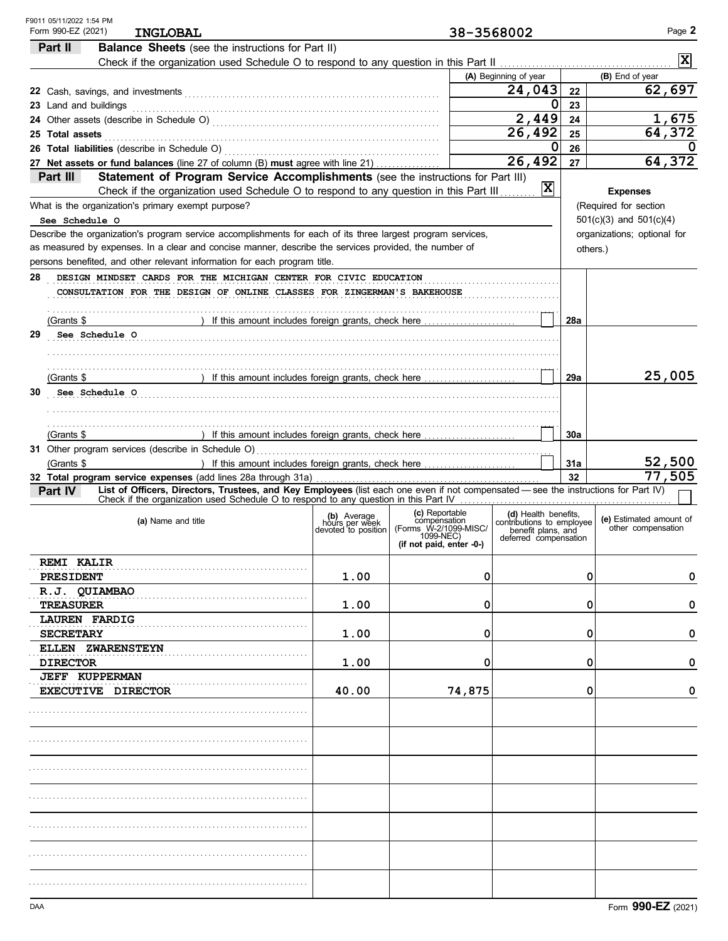| F9011 05/11/2022 1:54 PM<br>Form 990-EZ (2021)<br><b>INGLOBAL</b>                                                                              |                                                      |                                       | 38-3568002                                  |                 | Page 2                                        |
|------------------------------------------------------------------------------------------------------------------------------------------------|------------------------------------------------------|---------------------------------------|---------------------------------------------|-----------------|-----------------------------------------------|
| Part II<br><b>Balance Sheets</b> (see the instructions for Part II)                                                                            |                                                      |                                       |                                             |                 |                                               |
|                                                                                                                                                |                                                      |                                       |                                             |                 | $\overline{\mathbf{x}}$                       |
|                                                                                                                                                |                                                      |                                       | (A) Beginning of year                       |                 | (B) End of year                               |
|                                                                                                                                                |                                                      |                                       | 24,043                                      | 22              | 62,697                                        |
| 23 Land and buildings                                                                                                                          |                                                      |                                       | 0                                           | 23              |                                               |
|                                                                                                                                                |                                                      |                                       | 2,449                                       | 24              | 1,675                                         |
| 25 Total assets                                                                                                                                |                                                      |                                       | 26,492                                      | 25              | 64,372                                        |
|                                                                                                                                                |                                                      |                                       | 0                                           | 26              | O                                             |
| 27 Net assets or fund balances (line 27 of column (B) must agree with line 21)                                                                 |                                                      |                                       | 26, 492                                     | 27              | 64, 372                                       |
| Statement of Program Service Accomplishments (see the instructions for Part III)<br>Part III                                                   |                                                      |                                       | 冈                                           |                 |                                               |
| Check if the organization used Schedule O to respond to any question in this Part III                                                          |                                                      |                                       |                                             |                 | <b>Expenses</b>                               |
| What is the organization's primary exempt purpose?                                                                                             |                                                      |                                       |                                             |                 | (Required for section                         |
| See Schedule O                                                                                                                                 |                                                      |                                       |                                             |                 | $501(c)(3)$ and $501(c)(4)$                   |
| Describe the organization's program service accomplishments for each of its three largest program services,                                    |                                                      |                                       |                                             |                 | organizations; optional for                   |
| as measured by expenses. In a clear and concise manner, describe the services provided, the number of                                          |                                                      |                                       |                                             | others.)        |                                               |
| persons benefited, and other relevant information for each program title.                                                                      |                                                      |                                       |                                             |                 |                                               |
| 28<br>DESIGN MINDSET CARDS FOR THE MICHIGAN CENTER FOR CIVIC EDUCATION                                                                         |                                                      |                                       |                                             |                 |                                               |
| CONSULTATION FOR THE DESIGN OF ONLINE CLASSES FOR ZINGERMAN'S BAKEHOUSE                                                                        |                                                      |                                       |                                             |                 |                                               |
|                                                                                                                                                |                                                      |                                       |                                             |                 |                                               |
| (Grants \$                                                                                                                                     |                                                      |                                       |                                             | 28a             |                                               |
| 29<br>See Schedule O                                                                                                                           |                                                      |                                       |                                             |                 |                                               |
|                                                                                                                                                |                                                      |                                       |                                             |                 |                                               |
|                                                                                                                                                |                                                      |                                       |                                             |                 |                                               |
| ) If this amount includes foreign grants, check here<br>(Grants \$                                                                             |                                                      |                                       |                                             | 29a             | 25,005                                        |
| 30<br>See Schedule O                                                                                                                           |                                                      |                                       |                                             |                 |                                               |
|                                                                                                                                                |                                                      |                                       |                                             |                 |                                               |
|                                                                                                                                                |                                                      |                                       |                                             |                 |                                               |
| ) If this amount includes foreign grants, check here<br>(Grants \$                                                                             |                                                      |                                       |                                             | 30a             |                                               |
| 31 Other program services (describe in Schedule O)                                                                                             |                                                      |                                       |                                             |                 |                                               |
| (Grants \$<br>) If this amount includes foreign grants, check here                                                                             |                                                      |                                       |                                             | 31a             | 52,500                                        |
|                                                                                                                                                |                                                      |                                       |                                             | 32 <sub>2</sub> | 77,505                                        |
| List of Officers, Directors, Trustees, and Key Employees (list each one even if not compensated - see the instructions for Part IV)<br>Part IV |                                                      |                                       |                                             |                 |                                               |
|                                                                                                                                                |                                                      | (c) Reportable                        | (d) Health benefits.                        |                 |                                               |
| (a) Name and title                                                                                                                             | (b) Average<br>hours per week<br>devoted to position | compensation<br>(Forms W-2/1099-MISC/ | contributions to employee                   |                 | (e) Estimated amount of<br>other compensation |
|                                                                                                                                                |                                                      | 1099-NEC)                             | benefit plans, and<br>deferred compensation |                 |                                               |
|                                                                                                                                                |                                                      | (if not paid, enter -0-)              |                                             |                 |                                               |
| <b>REMI KALIR</b>                                                                                                                              |                                                      |                                       |                                             |                 |                                               |
| <b>PRESIDENT</b>                                                                                                                               | 1.00                                                 | 0                                     |                                             | 0               | 0                                             |
| R.J. QUIAMBAO                                                                                                                                  |                                                      |                                       |                                             |                 |                                               |
| <b>TREASURER</b>                                                                                                                               | 1.00                                                 | 0                                     |                                             | 0               | 0                                             |
| <b>LAUREN FARDIG</b>                                                                                                                           |                                                      |                                       |                                             |                 |                                               |
| <b>SECRETARY</b>                                                                                                                               | 1.00                                                 | 0                                     |                                             | 0               | 0                                             |
| <b>ELLEN ZWARENSTEYN</b>                                                                                                                       |                                                      |                                       |                                             |                 |                                               |
| <b>DIRECTOR</b>                                                                                                                                | 1.00                                                 | 0                                     |                                             | 0               | 0                                             |
| <b>JEFF KUPPERMAN</b>                                                                                                                          |                                                      |                                       |                                             |                 |                                               |
| <b>EXECUTIVE DIRECTOR</b>                                                                                                                      | 40.00                                                | 74,875                                |                                             | 0               | 0                                             |
|                                                                                                                                                |                                                      |                                       |                                             |                 |                                               |
|                                                                                                                                                |                                                      |                                       |                                             |                 |                                               |
|                                                                                                                                                |                                                      |                                       |                                             |                 |                                               |
|                                                                                                                                                |                                                      |                                       |                                             |                 |                                               |
|                                                                                                                                                |                                                      |                                       |                                             |                 |                                               |
|                                                                                                                                                |                                                      |                                       |                                             |                 |                                               |
|                                                                                                                                                |                                                      |                                       |                                             |                 |                                               |
|                                                                                                                                                |                                                      |                                       |                                             |                 |                                               |
|                                                                                                                                                |                                                      |                                       |                                             |                 |                                               |
|                                                                                                                                                |                                                      |                                       |                                             |                 |                                               |
|                                                                                                                                                |                                                      |                                       |                                             |                 |                                               |
|                                                                                                                                                |                                                      |                                       |                                             |                 |                                               |
|                                                                                                                                                |                                                      |                                       |                                             |                 |                                               |
|                                                                                                                                                |                                                      |                                       |                                             |                 |                                               |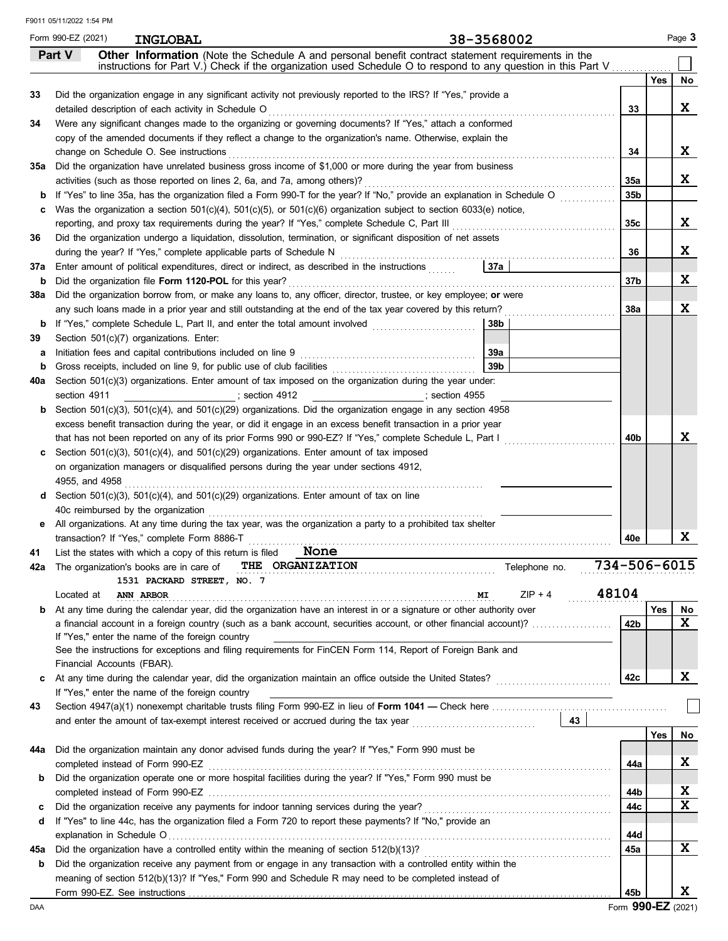|          | Form 990-EZ (2021) | 38-3568002<br><b>INGLOBAL</b>                                                                                                                                               |                 |     | Page 3 |
|----------|--------------------|-----------------------------------------------------------------------------------------------------------------------------------------------------------------------------|-----------------|-----|--------|
|          | Part V             | Other Information (Note the Schedule A and personal benefit contract statement requirements in the                                                                          |                 |     |        |
|          |                    | instructions for Part V.) Check if the organization used Schedule O to respond to any question in this Part V                                                               |                 |     |        |
|          |                    |                                                                                                                                                                             |                 | Yes | No     |
| 33       |                    | Did the organization engage in any significant activity not previously reported to the IRS? If "Yes," provide a                                                             |                 |     |        |
|          |                    | detailed description of each activity in Schedule O Mathematic and a content of the schedule description of each activity in Schedule O                                     | 33              |     | X      |
| 34       |                    | Were any significant changes made to the organizing or governing documents? If "Yes," attach a conformed                                                                    |                 |     |        |
|          |                    | copy of the amended documents if they reflect a change to the organization's name. Otherwise, explain the                                                                   |                 |     |        |
|          |                    | change on Schedule O. See instructions                                                                                                                                      | 34              |     | X      |
| 35а      |                    | Did the organization have unrelated business gross income of \$1,000 or more during the year from business                                                                  |                 |     |        |
|          |                    | activities (such as those reported on lines 2, 6a, and 7a, among others)?                                                                                                   | 35a             |     | X      |
|          |                    | If "Yes" to line 35a, has the organization filed a Form 990-T for the year? If "No," provide an explanation in Schedule O                                                   | 35b             |     |        |
|          |                    | Was the organization a section $501(c)(4)$ , $501(c)(5)$ , or $501(c)(6)$ organization subject to section 6033(e) notice,                                                   |                 |     |        |
|          |                    |                                                                                                                                                                             | 35c             |     | X      |
| 36       |                    | Did the organization undergo a liquidation, dissolution, termination, or significant disposition of net assets                                                              |                 |     | X      |
|          |                    | during the year? If "Yes," complete applicable parts of Schedule N<br> 37a <br>Enter amount of political expenditures, direct or indirect, as described in the instructions | 36              |     |        |
| 37а      |                    | Did the organization file Form 1120-POL for this year?                                                                                                                      | 37b             |     | X      |
| b<br>38a |                    | Did the organization borrow from, or make any loans to, any officer, director, trustee, or key employee; or were                                                            |                 |     |        |
|          |                    | any such loans made in a prior year and still outstanding at the end of the tax year covered by this return?                                                                | <b>38a</b>      |     | X      |
|          |                    | <b>b</b> If "Yes," complete Schedule L, Part II, and enter the total amount involved <i>matures</i> of the schedule 1.<br>38b                                               |                 |     |        |
| 39       |                    | Section 501(c)(7) organizations. Enter:                                                                                                                                     |                 |     |        |
| а        |                    | 39а                                                                                                                                                                         |                 |     |        |
|          |                    | 39 <sub>b</sub>                                                                                                                                                             |                 |     |        |
| 40a      |                    | Section 501(c)(3) organizations. Enter amount of tax imposed on the organization during the year under:                                                                     |                 |     |        |
|          | section 4911       | $\sim$ section 4912                                                                                                                                                         |                 |     |        |
| b        |                    | Section 501(c)(3), 501(c)(4), and 501(c)(29) organizations. Did the organization engage in any section 4958                                                                 |                 |     |        |
|          |                    | excess benefit transaction during the year, or did it engage in an excess benefit transaction in a prior year                                                               |                 |     |        |
|          |                    | that has not been reported on any of its prior Forms 990 or 990-EZ? If "Yes," complete Schedule L, Part I                                                                   | 40b             |     | x      |
|          |                    | Section $501(c)(3)$ , $501(c)(4)$ , and $501(c)(29)$ organizations. Enter amount of tax imposed                                                                             |                 |     |        |
|          |                    | on organization managers or disqualified persons during the year under sections 4912,                                                                                       |                 |     |        |
|          |                    |                                                                                                                                                                             |                 |     |        |
| d        |                    | Section 501(c)(3), 501(c)(4), and 501(c)(29) organizations. Enter amount of tax on line                                                                                     |                 |     |        |
|          |                    | 40c reimbursed by the organization                                                                                                                                          |                 |     |        |
| е        |                    | All organizations. At any time during the tax year, was the organization a party to a prohibited tax shelter                                                                |                 |     |        |
|          |                    | transaction? If "Yes," complete Form 8886-T                                                                                                                                 | 40e             |     | X      |
| 41       |                    | None<br>List the states with which a copy of this return is filed                                                                                                           |                 |     |        |
|          |                    | 734-506-6015<br>42a The organization's books are in care of THE ORGANIZATION<br>Telephone no.                                                                               |                 |     |        |
|          |                    | 1531 PACKARD STREET, NO. 7                                                                                                                                                  |                 |     |        |
|          | Located at         | 48104<br>$ZIP + 4$<br><b>ANN ARBOR</b><br>MI                                                                                                                                |                 |     |        |
| b        |                    | At any time during the calendar year, did the organization have an interest in or a signature or other authority over                                                       |                 | Yes | No     |
|          |                    | a financial account in a foreign country (such as a bank account, securities account, or other financial account)?                                                          | 42 <sub>b</sub> |     | X      |
|          |                    | If "Yes," enter the name of the foreign country                                                                                                                             |                 |     |        |
|          |                    | See the instructions for exceptions and filing requirements for FinCEN Form 114, Report of Foreign Bank and                                                                 |                 |     |        |
|          |                    | Financial Accounts (FBAR).                                                                                                                                                  |                 |     |        |
| C        |                    |                                                                                                                                                                             | 42c             |     | X      |
|          |                    | If "Yes," enter the name of the foreign country                                                                                                                             |                 |     |        |
| 43       |                    |                                                                                                                                                                             |                 |     |        |
|          |                    | $\begin{array}{ c c } \hline 43 \end{array}$                                                                                                                                |                 |     |        |
|          |                    |                                                                                                                                                                             |                 | Yes | No     |
| 44а      |                    | Did the organization maintain any donor advised funds during the year? If "Yes," Form 990 must be                                                                           |                 |     |        |
|          |                    | completed instead of Form 990-EZ                                                                                                                                            | 44a             |     | X      |
| b        |                    | Did the organization operate one or more hospital facilities during the year? If "Yes," Form 990 must be                                                                    |                 |     |        |
|          |                    |                                                                                                                                                                             | 44b             |     | X      |
| c        |                    | Did the organization receive any payments for indoor tanning services during the year?                                                                                      | 44c             |     | X      |
| d        |                    | If "Yes" to line 44c, has the organization filed a Form 720 to report these payments? If "No," provide an                                                                   |                 |     |        |
|          |                    |                                                                                                                                                                             | 44d             |     |        |
| 45а      |                    | Did the organization have a controlled entity within the meaning of section 512(b)(13)?                                                                                     | 45a             |     | X      |
| b        |                    | Did the organization receive any payment from or engage in any transaction with a controlled entity within the                                                              |                 |     |        |
|          |                    | meaning of section 512(b)(13)? If "Yes," Form 990 and Schedule R may need to be completed instead of                                                                        |                 |     |        |
|          |                    |                                                                                                                                                                             | 45b             |     | X.     |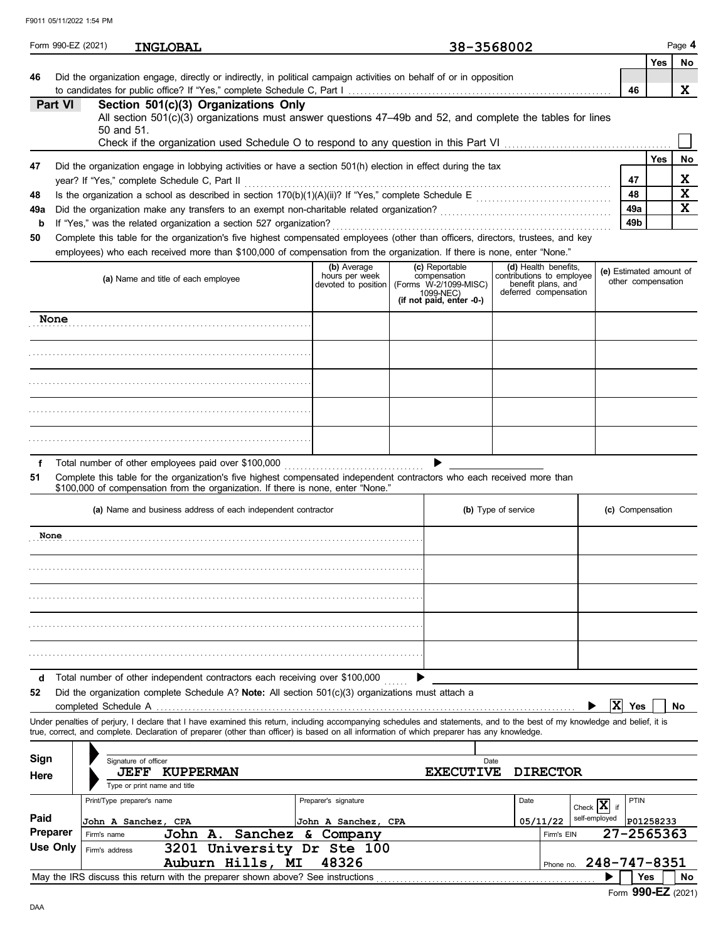|                   | Form 990-EZ (2021)<br><b>INGLOBAL</b>                                                                                                                                                                                                                                                                                    |                                                      | 38-3568002                                                                                       |                                                                                                  |                         |                                               |            | Page 4                  |
|-------------------|--------------------------------------------------------------------------------------------------------------------------------------------------------------------------------------------------------------------------------------------------------------------------------------------------------------------------|------------------------------------------------------|--------------------------------------------------------------------------------------------------|--------------------------------------------------------------------------------------------------|-------------------------|-----------------------------------------------|------------|-------------------------|
|                   |                                                                                                                                                                                                                                                                                                                          |                                                      |                                                                                                  |                                                                                                  |                         |                                               | Yes        | No                      |
| 46                | Did the organization engage, directly or indirectly, in political campaign activities on behalf of or in opposition                                                                                                                                                                                                      |                                                      |                                                                                                  |                                                                                                  |                         | 46                                            |            | X.                      |
| Part VI           | Section 501(c)(3) Organizations Only<br>All section 501(c)(3) organizations must answer questions 47-49b and 52, and complete the tables for lines<br>50 and 51.                                                                                                                                                         |                                                      |                                                                                                  |                                                                                                  |                         |                                               |            |                         |
|                   |                                                                                                                                                                                                                                                                                                                          |                                                      |                                                                                                  |                                                                                                  |                         |                                               | <b>Yes</b> | No                      |
| 47                | Did the organization engage in lobbying activities or have a section 501(h) election in effect during the tax<br>year? If "Yes," complete Schedule C, Part II                                                                                                                                                            |                                                      |                                                                                                  |                                                                                                  |                         | 47                                            |            | X                       |
| 48                |                                                                                                                                                                                                                                                                                                                          |                                                      |                                                                                                  |                                                                                                  |                         | 48                                            |            | $\overline{\mathbf{x}}$ |
| 49a               |                                                                                                                                                                                                                                                                                                                          |                                                      |                                                                                                  |                                                                                                  |                         | 49a                                           |            | $\mathbf x$             |
| $\mathbf b$<br>50 | If "Yes," was the related organization a section 527 organization?<br>Complete this table for the organization's five highest compensated employees (other than officers, directors, trustees, and key                                                                                                                   |                                                      |                                                                                                  |                                                                                                  |                         | 49 <sub>b</sub>                               |            |                         |
|                   | employees) who each received more than \$100,000 of compensation from the organization. If there is none, enter "None."                                                                                                                                                                                                  |                                                      |                                                                                                  |                                                                                                  |                         |                                               |            |                         |
|                   | (a) Name and title of each employee                                                                                                                                                                                                                                                                                      | (b) Average<br>hours per week<br>devoted to position | (c) Reportable<br>compensation<br>(Forms W-2/1099-MISC)<br>1099-NEC)<br>(if not paid, enter -0-) | (d) Health benefits,<br>contributions to employee<br>benefit plans, and<br>deferred compensation |                         | (e) Estimated amount of<br>other compensation |            |                         |
| None              |                                                                                                                                                                                                                                                                                                                          |                                                      |                                                                                                  |                                                                                                  |                         |                                               |            |                         |
|                   |                                                                                                                                                                                                                                                                                                                          |                                                      |                                                                                                  |                                                                                                  |                         |                                               |            |                         |
|                   |                                                                                                                                                                                                                                                                                                                          |                                                      |                                                                                                  |                                                                                                  |                         |                                               |            |                         |
|                   |                                                                                                                                                                                                                                                                                                                          |                                                      |                                                                                                  |                                                                                                  |                         |                                               |            |                         |
|                   |                                                                                                                                                                                                                                                                                                                          |                                                      |                                                                                                  |                                                                                                  |                         |                                               |            |                         |
| f<br>51           | Total number of other employees paid over \$100,000<br>Complete this table for the organization's five highest compensated independent contractors who each received more than<br>\$100,000 of compensation from the organization. If there is none, enter "None."                                                       |                                                      |                                                                                                  |                                                                                                  |                         |                                               |            |                         |
|                   | (a) Name and business address of each independent contractor                                                                                                                                                                                                                                                             |                                                      |                                                                                                  | (b) Type of service                                                                              |                         | (c) Compensation                              |            |                         |
| None              |                                                                                                                                                                                                                                                                                                                          |                                                      |                                                                                                  |                                                                                                  |                         |                                               |            |                         |
|                   |                                                                                                                                                                                                                                                                                                                          |                                                      |                                                                                                  |                                                                                                  |                         |                                               |            |                         |
|                   |                                                                                                                                                                                                                                                                                                                          |                                                      |                                                                                                  |                                                                                                  |                         |                                               |            |                         |
|                   |                                                                                                                                                                                                                                                                                                                          |                                                      |                                                                                                  |                                                                                                  |                         |                                               |            |                         |
|                   |                                                                                                                                                                                                                                                                                                                          |                                                      |                                                                                                  |                                                                                                  |                         |                                               |            |                         |
| d<br>52           | Total number of other independent contractors each receiving over \$100,000<br>Did the organization complete Schedule A? Note: All section $501(c)(3)$ organizations must attach a<br>completed Schedule A                                                                                                               |                                                      |                                                                                                  |                                                                                                  | X                       | Yes                                           |            | No                      |
|                   | Under penalties of perjury, I declare that I have examined this return, including accompanying schedules and statements, and to the best of my knowledge and belief, it is<br>true, correct, and complete. Declaration of preparer (other than officer) is based on all information of which preparer has any knowledge. |                                                      |                                                                                                  |                                                                                                  |                         |                                               |            |                         |
| Sign<br>Here      | Signature of officer<br><b>KUPPERMAN</b><br>JEFF<br>Type or print name and title                                                                                                                                                                                                                                         |                                                      | Date<br><b>EXECUTIVE</b>                                                                         | <b>DIRECTOR</b>                                                                                  |                         |                                               |            |                         |
|                   | Print/Type preparer's name                                                                                                                                                                                                                                                                                               | Preparer's signature                                 |                                                                                                  | Date                                                                                             | Check $ \mathbf{X} $ if | PTIN                                          |            |                         |
| Paid              | John A Sanchez, CPA                                                                                                                                                                                                                                                                                                      | John A Sanchez, CPA                                  |                                                                                                  | 05/11/22                                                                                         | self-employed           | P01258233                                     |            |                         |
| Preparer          | Sanchez & Company<br>John A.<br>Firm's name                                                                                                                                                                                                                                                                              |                                                      |                                                                                                  | Firm's EIN                                                                                       |                         | 27-2565363                                    |            |                         |
| Use Only          | 3201 University Dr Ste 100<br>Firm's address<br>Auburn Hills, MI                                                                                                                                                                                                                                                         | 48326                                                |                                                                                                  | Phone no.                                                                                        | 248-747-8351            |                                               |            |                         |
|                   | May the IRS discuss this return with the preparer shown above? See instructions                                                                                                                                                                                                                                          |                                                      |                                                                                                  |                                                                                                  |                         | Yes                                           |            | No                      |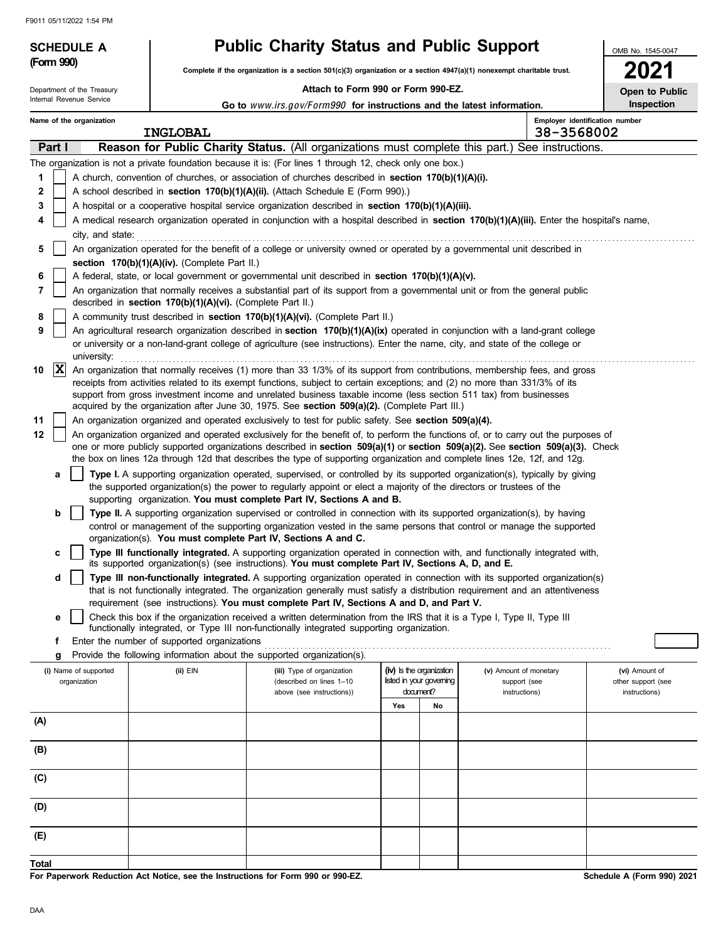Department of the Treasury

### **SCHEDULE A Public Charity Status and Public Support**

**Complete if the organization is a section 501(c)(3) organization or a section 4947(a)(1) nonexempt charitable trust.<br>Complete if the organization is a section 501(c)(3) organization or a section 4947(a)(1) nonexempt chari** 

### **Attach to Form 990 or Form 990-EZ.**

**2021 Open to Public**

OMB No. 1545-0047

| Internal Revenue Service |             |                                                                                                                                                                                            |  |                                               | Go to www.irs.gov/Form990 for instructions and the latest information.                                                                                                                                                                                                                                                                            |     |                                                      |                                                                                                                                                                                                                                                           | Inspection                           |
|--------------------------|-------------|--------------------------------------------------------------------------------------------------------------------------------------------------------------------------------------------|--|-----------------------------------------------|---------------------------------------------------------------------------------------------------------------------------------------------------------------------------------------------------------------------------------------------------------------------------------------------------------------------------------------------------|-----|------------------------------------------------------|-----------------------------------------------------------------------------------------------------------------------------------------------------------------------------------------------------------------------------------------------------------|--------------------------------------|
|                          |             | Name of the organization                                                                                                                                                                   |  | <b>INGLOBAL</b>                               |                                                                                                                                                                                                                                                                                                                                                   |     |                                                      | Employer identification number<br>38-3568002                                                                                                                                                                                                              |                                      |
|                          | Part I      |                                                                                                                                                                                            |  |                                               |                                                                                                                                                                                                                                                                                                                                                   |     |                                                      | Reason for Public Charity Status. (All organizations must complete this part.) See instructions.                                                                                                                                                          |                                      |
|                          |             |                                                                                                                                                                                            |  |                                               | The organization is not a private foundation because it is: (For lines 1 through 12, check only one box.)                                                                                                                                                                                                                                         |     |                                                      |                                                                                                                                                                                                                                                           |                                      |
| 1                        |             |                                                                                                                                                                                            |  |                                               | A church, convention of churches, or association of churches described in <b>section 170(b)(1)(A)(i).</b>                                                                                                                                                                                                                                         |     |                                                      |                                                                                                                                                                                                                                                           |                                      |
| 2                        |             |                                                                                                                                                                                            |  |                                               | A school described in section 170(b)(1)(A)(ii). (Attach Schedule E (Form 990).)                                                                                                                                                                                                                                                                   |     |                                                      |                                                                                                                                                                                                                                                           |                                      |
| 3                        |             |                                                                                                                                                                                            |  |                                               | A hospital or a cooperative hospital service organization described in section 170(b)(1)(A)(iii).                                                                                                                                                                                                                                                 |     |                                                      |                                                                                                                                                                                                                                                           |                                      |
| 4                        |             | city, and state:                                                                                                                                                                           |  |                                               |                                                                                                                                                                                                                                                                                                                                                   |     |                                                      | A medical research organization operated in conjunction with a hospital described in section 170(b)(1)(A)(iii). Enter the hospital's name,                                                                                                                |                                      |
| 5                        |             |                                                                                                                                                                                            |  |                                               | An organization operated for the benefit of a college or university owned or operated by a governmental unit described in                                                                                                                                                                                                                         |     |                                                      |                                                                                                                                                                                                                                                           |                                      |
|                          |             |                                                                                                                                                                                            |  | section 170(b)(1)(A)(iv). (Complete Part II.) |                                                                                                                                                                                                                                                                                                                                                   |     |                                                      |                                                                                                                                                                                                                                                           |                                      |
| 6                        |             |                                                                                                                                                                                            |  |                                               | A federal, state, or local government or governmental unit described in section 170(b)(1)(A)(v).                                                                                                                                                                                                                                                  |     |                                                      |                                                                                                                                                                                                                                                           |                                      |
| 7                        |             | An organization that normally receives a substantial part of its support from a governmental unit or from the general public<br>described in section 170(b)(1)(A)(vi). (Complete Part II.) |  |                                               |                                                                                                                                                                                                                                                                                                                                                   |     |                                                      |                                                                                                                                                                                                                                                           |                                      |
| 8                        |             |                                                                                                                                                                                            |  |                                               | A community trust described in section 170(b)(1)(A)(vi). (Complete Part II.)                                                                                                                                                                                                                                                                      |     |                                                      |                                                                                                                                                                                                                                                           |                                      |
| 9                        |             |                                                                                                                                                                                            |  |                                               |                                                                                                                                                                                                                                                                                                                                                   |     |                                                      | An agricultural research organization described in section 170(b)(1)(A)(ix) operated in conjunction with a land-grant college                                                                                                                             |                                      |
|                          |             | university:                                                                                                                                                                                |  |                                               | or university or a non-land-grant college of agriculture (see instructions). Enter the name, city, and state of the college or                                                                                                                                                                                                                    |     |                                                      |                                                                                                                                                                                                                                                           |                                      |
| 10                       | $ {\bf x} $ |                                                                                                                                                                                            |  |                                               | receipts from activities related to its exempt functions, subject to certain exceptions; and (2) no more than 331/3% of its<br>support from gross investment income and unrelated business taxable income (less section 511 tax) from businesses<br>acquired by the organization after June 30, 1975. See section 509(a)(2). (Complete Part III.) |     |                                                      | An organization that normally receives (1) more than 33 1/3% of its support from contributions, membership fees, and gross                                                                                                                                |                                      |
| 11                       |             |                                                                                                                                                                                            |  |                                               | An organization organized and operated exclusively to test for public safety. See section 509(a)(4).                                                                                                                                                                                                                                              |     |                                                      |                                                                                                                                                                                                                                                           |                                      |
| 12                       |             |                                                                                                                                                                                            |  |                                               |                                                                                                                                                                                                                                                                                                                                                   |     |                                                      | An organization organized and operated exclusively for the benefit of, to perform the functions of, or to carry out the purposes of                                                                                                                       |                                      |
|                          |             |                                                                                                                                                                                            |  |                                               | the box on lines 12a through 12d that describes the type of supporting organization and complete lines 12e, 12f, and 12g.                                                                                                                                                                                                                         |     |                                                      | one or more publicly supported organizations described in section 509(a)(1) or section 509(a)(2). See section 509(a)(3). Check                                                                                                                            |                                      |
|                          | a           |                                                                                                                                                                                            |  |                                               | the supported organization(s) the power to regularly appoint or elect a majority of the directors or trustees of the                                                                                                                                                                                                                              |     |                                                      | Type I. A supporting organization operated, supervised, or controlled by its supported organization(s), typically by giving                                                                                                                               |                                      |
|                          |             |                                                                                                                                                                                            |  |                                               | supporting organization. You must complete Part IV, Sections A and B.                                                                                                                                                                                                                                                                             |     |                                                      |                                                                                                                                                                                                                                                           |                                      |
|                          | b           |                                                                                                                                                                                            |  |                                               | Type II. A supporting organization supervised or controlled in connection with its supported organization(s), by having<br>organization(s). You must complete Part IV, Sections A and C.                                                                                                                                                          |     |                                                      | control or management of the supporting organization vested in the same persons that control or manage the supported                                                                                                                                      |                                      |
|                          | С           |                                                                                                                                                                                            |  |                                               | its supported organization(s) (see instructions). You must complete Part IV, Sections A, D, and E.                                                                                                                                                                                                                                                |     |                                                      | Type III functionally integrated. A supporting organization operated in connection with, and functionally integrated with,                                                                                                                                |                                      |
|                          | d           |                                                                                                                                                                                            |  |                                               |                                                                                                                                                                                                                                                                                                                                                   |     |                                                      | Type III non-functionally integrated. A supporting organization operated in connection with its supported organization(s)<br>that is not functionally integrated. The organization generally must satisfy a distribution requirement and an attentiveness |                                      |
|                          |             |                                                                                                                                                                                            |  |                                               | requirement (see instructions). You must complete Part IV, Sections A and D, and Part V.                                                                                                                                                                                                                                                          |     |                                                      |                                                                                                                                                                                                                                                           |                                      |
|                          | е           |                                                                                                                                                                                            |  |                                               | Check this box if the organization received a written determination from the IRS that it is a Type I, Type II, Type III                                                                                                                                                                                                                           |     |                                                      |                                                                                                                                                                                                                                                           |                                      |
|                          |             |                                                                                                                                                                                            |  |                                               | functionally integrated, or Type III non-functionally integrated supporting organization.                                                                                                                                                                                                                                                         |     |                                                      |                                                                                                                                                                                                                                                           |                                      |
|                          | Ť.          |                                                                                                                                                                                            |  | Enter the number of supported organizations   |                                                                                                                                                                                                                                                                                                                                                   |     |                                                      |                                                                                                                                                                                                                                                           |                                      |
|                          | g           |                                                                                                                                                                                            |  |                                               | Provide the following information about the supported organization(s).                                                                                                                                                                                                                                                                            |     |                                                      |                                                                                                                                                                                                                                                           |                                      |
|                          |             | (i) Name of supported<br>organization                                                                                                                                                      |  | (ii) EIN                                      | (iii) Type of organization<br>(described on lines 1-10                                                                                                                                                                                                                                                                                            |     | (iv) Is the organization<br>listed in your governing | (v) Amount of monetary<br>support (see                                                                                                                                                                                                                    | (vi) Amount of<br>other support (see |
|                          |             |                                                                                                                                                                                            |  |                                               | above (see instructions))                                                                                                                                                                                                                                                                                                                         |     | document?                                            | instructions)                                                                                                                                                                                                                                             | instructions)                        |
|                          |             |                                                                                                                                                                                            |  |                                               |                                                                                                                                                                                                                                                                                                                                                   | Yes | No                                                   |                                                                                                                                                                                                                                                           |                                      |
| (A)                      |             |                                                                                                                                                                                            |  |                                               |                                                                                                                                                                                                                                                                                                                                                   |     |                                                      |                                                                                                                                                                                                                                                           |                                      |
| (B)                      |             |                                                                                                                                                                                            |  |                                               |                                                                                                                                                                                                                                                                                                                                                   |     |                                                      |                                                                                                                                                                                                                                                           |                                      |
| (C)                      |             |                                                                                                                                                                                            |  |                                               |                                                                                                                                                                                                                                                                                                                                                   |     |                                                      |                                                                                                                                                                                                                                                           |                                      |
| (D)                      |             |                                                                                                                                                                                            |  |                                               |                                                                                                                                                                                                                                                                                                                                                   |     |                                                      |                                                                                                                                                                                                                                                           |                                      |
| (E)                      |             |                                                                                                                                                                                            |  |                                               |                                                                                                                                                                                                                                                                                                                                                   |     |                                                      |                                                                                                                                                                                                                                                           |                                      |
|                          |             |                                                                                                                                                                                            |  |                                               |                                                                                                                                                                                                                                                                                                                                                   |     |                                                      |                                                                                                                                                                                                                                                           |                                      |
| Total                    |             |                                                                                                                                                                                            |  |                                               |                                                                                                                                                                                                                                                                                                                                                   |     |                                                      |                                                                                                                                                                                                                                                           |                                      |

**For Paperwork Reduction Act Notice, see the Instructions for Form 990 or 990-EZ.**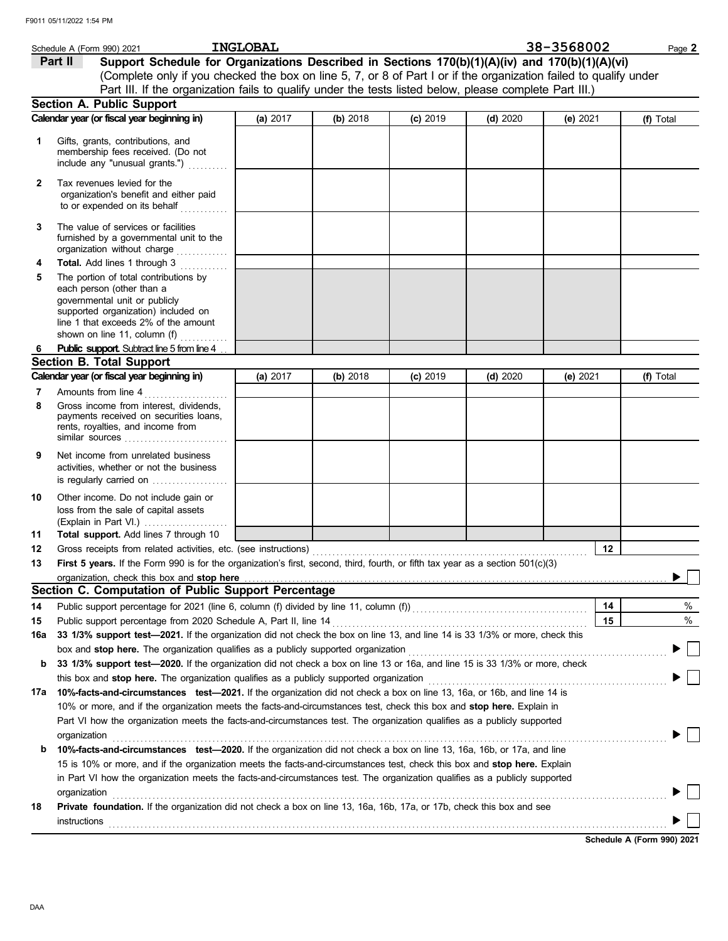|              | Schedule A (Form 990) 2021                                                                                                                                                                                              | <b>INGLOBAL</b> |          |            |            | 38-3568002 | Page 2    |
|--------------|-------------------------------------------------------------------------------------------------------------------------------------------------------------------------------------------------------------------------|-----------------|----------|------------|------------|------------|-----------|
|              | Support Schedule for Organizations Described in Sections 170(b)(1)(A)(iv) and 170(b)(1)(A)(vi)<br>Part II                                                                                                               |                 |          |            |            |            |           |
|              | (Complete only if you checked the box on line 5, 7, or 8 of Part I or if the organization failed to qualify under                                                                                                       |                 |          |            |            |            |           |
|              | Part III. If the organization fails to qualify under the tests listed below, please complete Part III.)                                                                                                                 |                 |          |            |            |            |           |
|              | <b>Section A. Public Support</b>                                                                                                                                                                                        |                 |          |            |            |            |           |
|              | Calendar year (or fiscal year beginning in)                                                                                                                                                                             | (a) 2017        | (b) 2018 | $(c)$ 2019 | $(d)$ 2020 | (e) $2021$ | (f) Total |
|              |                                                                                                                                                                                                                         |                 |          |            |            |            |           |
| 1            | Gifts, grants, contributions, and<br>membership fees received. (Do not<br>include any "unusual grants.")                                                                                                                |                 |          |            |            |            |           |
| $\mathbf{2}$ | Tax revenues levied for the<br>organization's benefit and either paid<br>to or expended on its behalf                                                                                                                   |                 |          |            |            |            |           |
| 3            | The value of services or facilities<br>furnished by a governmental unit to the<br>organization without charge                                                                                                           |                 |          |            |            |            |           |
| 4            | Total. Add lines 1 through 3<br>.                                                                                                                                                                                       |                 |          |            |            |            |           |
| 5            | The portion of total contributions by<br>each person (other than a<br>governmental unit or publicly<br>supported organization) included on<br>line 1 that exceeds 2% of the amount<br>shown on line 11, column (f)<br>. |                 |          |            |            |            |           |
| 6            | <b>Public support.</b> Subtract line 5 from line 4                                                                                                                                                                      |                 |          |            |            |            |           |
|              | <b>Section B. Total Support</b>                                                                                                                                                                                         |                 |          |            |            |            |           |
|              | Calendar year (or fiscal year beginning in)                                                                                                                                                                             | (a) 2017        | (b) 2018 | $(c)$ 2019 | (d) $2020$ | (e) 2021   | (f) Total |
| 7            | Amounts from line 4                                                                                                                                                                                                     |                 |          |            |            |            |           |
| 8            | Gross income from interest, dividends,<br>payments received on securities loans,<br>rents, royalties, and income from<br>similar sources $\ldots, \ldots, \ldots, \ldots, \ldots, \ldots$                               |                 |          |            |            |            |           |
| 9            | Net income from unrelated business<br>activities, whether or not the business<br>is regularly carried on                                                                                                                |                 |          |            |            |            |           |
| 10           | Other income. Do not include gain or<br>loss from the sale of capital assets<br>(Explain in Part VI.)                                                                                                                   |                 |          |            |            |            |           |
| 11           | Total support. Add lines 7 through 10                                                                                                                                                                                   |                 |          |            |            |            |           |
| 12           |                                                                                                                                                                                                                         |                 |          |            |            | 12         |           |
| 13           | <b>First 5 years.</b> If the Form 990 is for the organization's first, second, third, fourth, or fifth tax year as a section 501(c)(3)                                                                                  |                 |          |            |            |            |           |
|              |                                                                                                                                                                                                                         |                 |          |            |            |            |           |
|              | Section C. Computation of Public Support Percentage                                                                                                                                                                     |                 |          |            |            |            |           |
| 14           | Public support percentage for 2021 (line 6, column (f) divided by line 11, column (f)) [[[[[[[[[[[[[[[[[[[[[[                                                                                                           |                 |          |            |            | 14         | $\%$      |
| 15           |                                                                                                                                                                                                                         |                 |          |            |            | 15         | $\%$      |
| 16a          | 33 1/3% support test-2021. If the organization did not check the box on line 13, and line 14 is 33 1/3% or more, check this                                                                                             |                 |          |            |            |            |           |
| b            | box and stop here. The organization qualifies as a publicly supported organization<br>33 1/3% support test-2020. If the organization did not check a box on line 13 or 16a, and line 15 is 33 1/3% or more, check       |                 |          |            |            |            |           |
|              |                                                                                                                                                                                                                         |                 |          |            |            |            |           |
| 17a          | 10%-facts-and-circumstances test-2021. If the organization did not check a box on line 13, 16a, or 16b, and line 14 is                                                                                                  |                 |          |            |            |            |           |
|              | 10% or more, and if the organization meets the facts-and-circumstances test, check this box and stop here. Explain in                                                                                                   |                 |          |            |            |            |           |
|              | Part VI how the organization meets the facts-and-circumstances test. The organization qualifies as a publicly supported                                                                                                 |                 |          |            |            |            |           |
|              | organization                                                                                                                                                                                                            |                 |          |            |            |            |           |
| b            | 10%-facts-and-circumstances test-2020. If the organization did not check a box on line 13, 16a, 16b, or 17a, and line                                                                                                   |                 |          |            |            |            |           |
|              | 15 is 10% or more, and if the organization meets the facts-and-circumstances test, check this box and stop here. Explain                                                                                                |                 |          |            |            |            |           |
|              | in Part VI how the organization meets the facts-and-circumstances test. The organization qualifies as a publicly supported                                                                                              |                 |          |            |            |            |           |
|              | organization                                                                                                                                                                                                            |                 |          |            |            |            |           |
| 18           | Private foundation. If the organization did not check a box on line 13, 16a, 16b, 17a, or 17b, check this box and see                                                                                                   |                 |          |            |            |            |           |
|              | instructions                                                                                                                                                                                                            |                 |          |            |            |            |           |

**Schedule A (Form 990) 2021**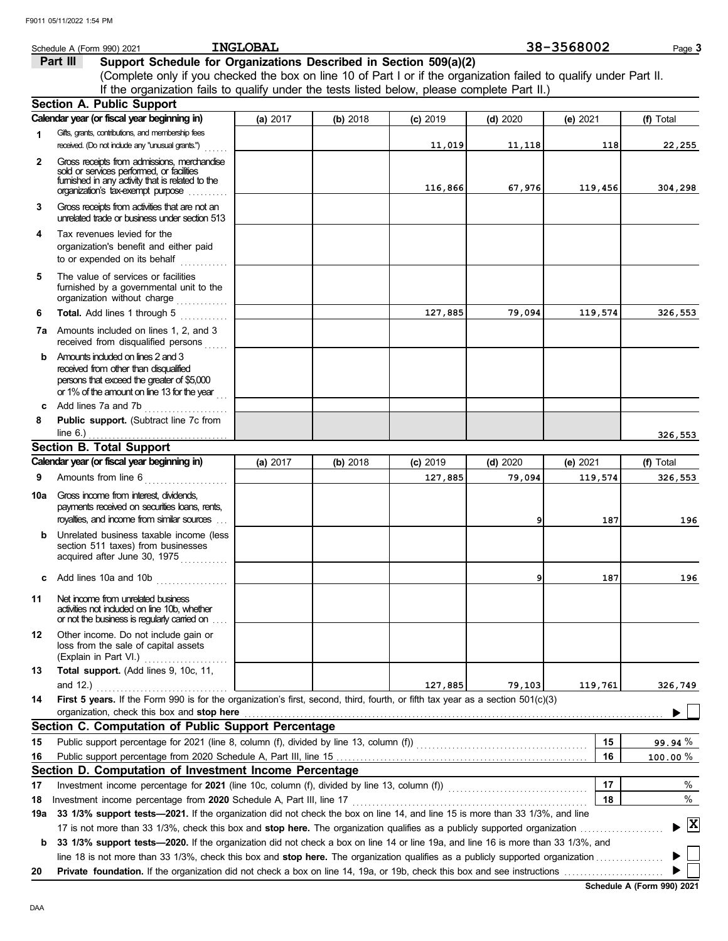|              | Schedule A (Form 990) 2021                                                                                                                  | <b>INGLOBAL</b> |          |            |            | 38-3568002 | Page 3                               |
|--------------|---------------------------------------------------------------------------------------------------------------------------------------------|-----------------|----------|------------|------------|------------|--------------------------------------|
|              | Part III<br>Support Schedule for Organizations Described in Section 509(a)(2)                                                               |                 |          |            |            |            |                                      |
|              | (Complete only if you checked the box on line 10 of Part I or if the organization failed to qualify under Part II.                          |                 |          |            |            |            |                                      |
|              | If the organization fails to qualify under the tests listed below, please complete Part II.)                                                |                 |          |            |            |            |                                      |
|              | <b>Section A. Public Support</b>                                                                                                            |                 |          |            |            |            |                                      |
|              | Calendar year (or fiscal year beginning in)                                                                                                 | (a) 2017        | (b) 2018 | $(c)$ 2019 | (d) 2020   | (e) 2021   | (f) Total                            |
| 1            | Gifts, grants, contributions, and membership fees                                                                                           |                 |          |            |            |            |                                      |
|              | received. (Do not indude any "unusual grants.")                                                                                             |                 |          | 11,019     | 11,118     | 118        | 22,255                               |
| $\mathbf{2}$ | Gross receipts from admissions, merchandise                                                                                                 |                 |          |            |            |            |                                      |
|              | sold or services performed, or facilities<br>fumished in any activity that is related to the                                                |                 |          |            |            |            |                                      |
|              | organization's tax-exempt purpose<br>.                                                                                                      |                 |          | 116,866    | 67,976     | 119,456    | 304,298                              |
| 3.           | Gross receipts from activities that are not an<br>unrelated trade or business under section 513                                             |                 |          |            |            |            |                                      |
| 4            | Tax revenues levied for the                                                                                                                 |                 |          |            |            |            |                                      |
|              | organization's benefit and either paid                                                                                                      |                 |          |            |            |            |                                      |
|              | to or expended on its behalf<br>.                                                                                                           |                 |          |            |            |            |                                      |
| 5            | The value of services or facilities<br>furnished by a governmental unit to the<br>organization without charge                               |                 |          |            |            |            |                                      |
| 6            | Total. Add lines 1 through 5<br>an an Dùbhlachd                                                                                             |                 |          | 127,885    | 79,094     | 119,574    | 326,553                              |
|              | <b>7a</b> Amounts included on lines 1, 2, and 3                                                                                             |                 |          |            |            |            |                                      |
|              | received from disqualified persons                                                                                                          |                 |          |            |            |            |                                      |
| b.           | Amounts induded on lines 2 and 3                                                                                                            |                 |          |            |            |            |                                      |
|              | received from other than disqualified<br>persons that exceed the greater of \$5,000                                                         |                 |          |            |            |            |                                      |
|              | or 1% of the amount on line 13 for the year                                                                                                 |                 |          |            |            |            |                                      |
| C            | Add lines 7a and 7b<br>.                                                                                                                    |                 |          |            |            |            |                                      |
| 8            | Public support. (Subtract line 7c from                                                                                                      |                 |          |            |            |            |                                      |
|              | line $6.$ )                                                                                                                                 |                 |          |            |            |            | 326,553                              |
|              | <b>Section B. Total Support</b>                                                                                                             |                 |          |            |            |            |                                      |
|              | Calendar year (or fiscal year beginning in)                                                                                                 | (a) 2017        | (b) 2018 | $(c)$ 2019 | $(d)$ 2020 | (e) 2021   | (f) Total                            |
| 9            | Amounts from line 6<br><u>a sa Barangara</u>                                                                                                |                 |          | 127,885    | 79,094     | 119,574    | 326,553                              |
| 10a          | Gross income from interest, dividends,                                                                                                      |                 |          |            |            |            |                                      |
|              | payments received on securities loans, rents,                                                                                               |                 |          |            |            |            |                                      |
|              | royalties, and income from similar sources                                                                                                  |                 |          |            | 9          | 187        | 196                                  |
| b            | Unrelated business taxable income (less<br>section 511 taxes) from businesses<br>acquired after June 30, 1975                               |                 |          |            |            |            |                                      |
| c            | Add lines 10a and 10b<br>. <b>.</b> .                                                                                                       |                 |          |            | 9          | 187        | 196                                  |
| 11           | Net income from unrelated business                                                                                                          |                 |          |            |            |            |                                      |
|              | activities not included on line 10b, whether<br>or not the business is regularly carried on                                                 |                 |          |            |            |            |                                      |
| 12           | Other income. Do not include gain or                                                                                                        |                 |          |            |            |            |                                      |
|              | loss from the sale of capital assets                                                                                                        |                 |          |            |            |            |                                      |
|              | (Explain in Part VI.)                                                                                                                       |                 |          |            |            |            |                                      |
| 13           | Total support. (Add lines 9, 10c, 11,                                                                                                       |                 |          |            |            |            |                                      |
| 14           | and 12.)<br>First 5 years. If the Form 990 is for the organization's first, second, third, fourth, or fifth tax year as a section 501(c)(3) |                 |          | 127,885    | 79,103     | 119,761    | 326,749                              |
|              | organization, check this box and stop here                                                                                                  |                 |          |            |            |            |                                      |
|              | Section C. Computation of Public Support Percentage                                                                                         |                 |          |            |            |            |                                      |
| 15           |                                                                                                                                             |                 |          |            |            | 15         | 99.94 %                              |
| 16           | Public support percentage from 2020 Schedule A, Part III, line 15                                                                           |                 |          |            |            | 16         | $100.00 \%$                          |
|              | Section D. Computation of Investment Income Percentage                                                                                      |                 |          |            |            |            |                                      |
| 17           | Investment income percentage for 2021 (line 10c, column (f), divided by line 13, column (f)) [[[[[[[[[[[[[[[[                               |                 |          |            |            | 17         | %                                    |
| 18           | Investment income percentage from 2020 Schedule A, Part III, line 17                                                                        |                 |          |            |            | 18         | $\%$                                 |
| 19a          | 33 1/3% support tests-2021. If the organization did not check the box on line 14, and line 15 is more than 33 1/3%, and line                |                 |          |            |            |            |                                      |
|              |                                                                                                                                             |                 |          |            |            |            | $\blacktriangleright$ $ \mathbf{X} $ |
| b            | 33 1/3% support tests-2020. If the organization did not check a box on line 14 or line 19a, and line 16 is more than 33 1/3%, and           |                 |          |            |            |            |                                      |
|              | line 18 is not more than 33 1/3%, check this box and stop here. The organization qualifies as a publicly supported organization             |                 |          |            |            |            |                                      |
| 20           |                                                                                                                                             |                 |          |            |            |            |                                      |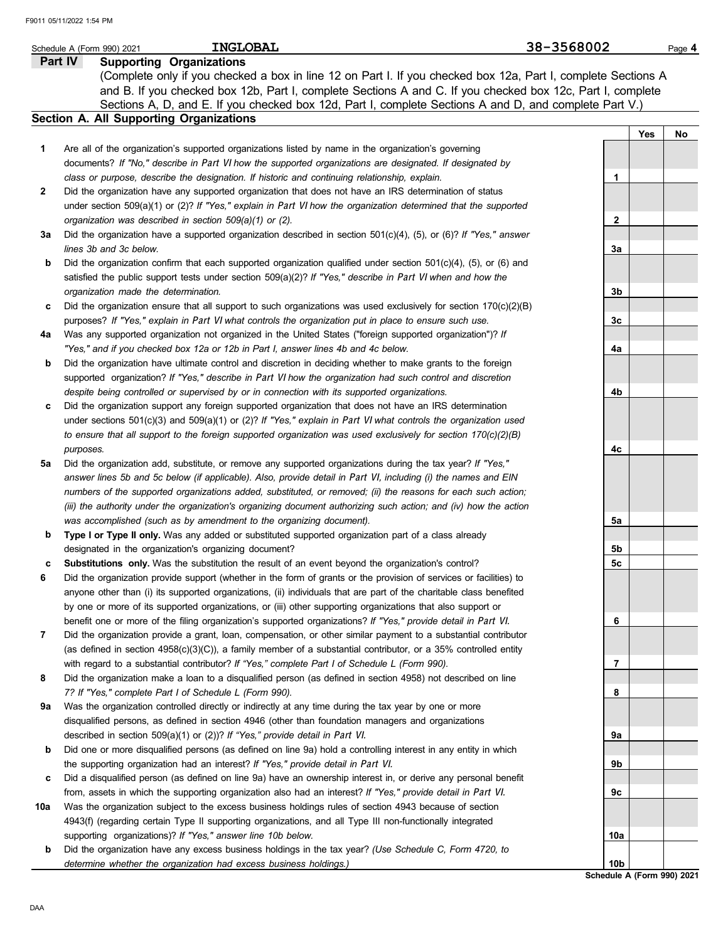|              | <b>INGLOBAL</b><br>Schedule A (Form 990) 2021                                                                                                                                                                                             | 38-3568002      | Page 4                     |
|--------------|-------------------------------------------------------------------------------------------------------------------------------------------------------------------------------------------------------------------------------------------|-----------------|----------------------------|
|              | <b>Supporting Organizations</b><br>Part IV                                                                                                                                                                                                |                 |                            |
|              | (Complete only if you checked a box in line 12 on Part I. If you checked box 12a, Part I, complete Sections A                                                                                                                             |                 |                            |
|              | and B. If you checked box 12b, Part I, complete Sections A and C. If you checked box 12c, Part I, complete<br>Sections A, D, and E. If you checked box 12d, Part I, complete Sections A and D, and complete Part V.)                      |                 |                            |
|              | Section A. All Supporting Organizations                                                                                                                                                                                                   |                 |                            |
|              |                                                                                                                                                                                                                                           |                 | Yes<br>No                  |
| 1            | Are all of the organization's supported organizations listed by name in the organization's governing                                                                                                                                      |                 |                            |
|              | documents? If "No," describe in Part VI how the supported organizations are designated. If designated by                                                                                                                                  |                 |                            |
|              | class or purpose, describe the designation. If historic and continuing relationship, explain.                                                                                                                                             | 1               |                            |
| $\mathbf{2}$ | Did the organization have any supported organization that does not have an IRS determination of status                                                                                                                                    |                 |                            |
|              | under section $509(a)(1)$ or (2)? If "Yes," explain in Part VI how the organization determined that the supported                                                                                                                         |                 |                            |
|              | organization was described in section 509(a)(1) or (2).                                                                                                                                                                                   | $\mathbf{2}$    |                            |
| За           | Did the organization have a supported organization described in section $501(c)(4)$ , (5), or (6)? If "Yes," answer                                                                                                                       |                 |                            |
|              | lines 3b and 3c below.                                                                                                                                                                                                                    | За              |                            |
| b            | Did the organization confirm that each supported organization qualified under section $501(c)(4)$ , $(5)$ , or $(6)$ and                                                                                                                  |                 |                            |
|              | satisfied the public support tests under section $509(a)(2)?$ If "Yes," describe in Part VI when and how the                                                                                                                              |                 |                            |
|              | organization made the determination.                                                                                                                                                                                                      | 3b              |                            |
| c            | Did the organization ensure that all support to such organizations was used exclusively for section $170(c)(2)(B)$                                                                                                                        |                 |                            |
|              | purposes? If "Yes," explain in Part VI what controls the organization put in place to ensure such use.                                                                                                                                    | 3c              |                            |
| 4a           | Was any supported organization not organized in the United States ("foreign supported organization")? If                                                                                                                                  |                 |                            |
|              | "Yes," and if you checked box 12a or 12b in Part I, answer lines 4b and 4c below.                                                                                                                                                         | 4a              |                            |
| b            | Did the organization have ultimate control and discretion in deciding whether to make grants to the foreign                                                                                                                               |                 |                            |
|              | supported organization? If "Yes," describe in Part VI how the organization had such control and discretion                                                                                                                                |                 |                            |
|              | despite being controlled or supervised by or in connection with its supported organizations.                                                                                                                                              | 4b              |                            |
| c            | Did the organization support any foreign supported organization that does not have an IRS determination                                                                                                                                   |                 |                            |
|              | under sections $501(c)(3)$ and $509(a)(1)$ or (2)? If "Yes," explain in Part VI what controls the organization used                                                                                                                       |                 |                            |
|              | to ensure that all support to the foreign supported organization was used exclusively for section $170(c)(2)(B)$                                                                                                                          |                 |                            |
|              | purposes.                                                                                                                                                                                                                                 | 4c              |                            |
| 5а           | Did the organization add, substitute, or remove any supported organizations during the tax year? If "Yes,"                                                                                                                                |                 |                            |
|              | answer lines 5b and 5c below (if applicable). Also, provide detail in Part VI, including (i) the names and EIN                                                                                                                            |                 |                            |
|              | numbers of the supported organizations added, substituted, or removed; (ii) the reasons for each such action;                                                                                                                             |                 |                            |
|              | (iii) the authority under the organization's organizing document authorizing such action; and (iv) how the action                                                                                                                         |                 |                            |
|              | was accomplished (such as by amendment to the organizing document).                                                                                                                                                                       | 5а              |                            |
| b            | Type I or Type II only. Was any added or substituted supported organization part of a class already                                                                                                                                       |                 |                            |
|              | designated in the organization's organizing document?                                                                                                                                                                                     | 5b<br>5c        |                            |
| c<br>6       | Substitutions only. Was the substitution the result of an event beyond the organization's control?                                                                                                                                        |                 |                            |
|              | Did the organization provide support (whether in the form of grants or the provision of services or facilities) to<br>anyone other than (i) its supported organizations, (ii) individuals that are part of the charitable class benefited |                 |                            |
|              |                                                                                                                                                                                                                                           |                 |                            |
|              | by one or more of its supported organizations, or (iii) other supporting organizations that also support or<br>benefit one or more of the filing organization's supported organizations? If "Yes," provide detail in Part VI.             | 6               |                            |
| 7            | Did the organization provide a grant, loan, compensation, or other similar payment to a substantial contributor                                                                                                                           |                 |                            |
|              | (as defined in section $4958(c)(3)(C)$ ), a family member of a substantial contributor, or a 35% controlled entity                                                                                                                        |                 |                            |
|              | with regard to a substantial contributor? If "Yes," complete Part I of Schedule L (Form 990).                                                                                                                                             | 7               |                            |
| 8            | Did the organization make a loan to a disqualified person (as defined in section 4958) not described on line                                                                                                                              |                 |                            |
|              | 7? If "Yes," complete Part I of Schedule L (Form 990).                                                                                                                                                                                    | 8               |                            |
| 9а           | Was the organization controlled directly or indirectly at any time during the tax year by one or more                                                                                                                                     |                 |                            |
|              | disqualified persons, as defined in section 4946 (other than foundation managers and organizations                                                                                                                                        |                 |                            |
|              | described in section 509(a)(1) or (2))? If "Yes," provide detail in Part VI.                                                                                                                                                              | 9а              |                            |
| b            | Did one or more disqualified persons (as defined on line 9a) hold a controlling interest in any entity in which                                                                                                                           |                 |                            |
|              | the supporting organization had an interest? If "Yes," provide detail in Part VI.                                                                                                                                                         | 9b              |                            |
| c            | Did a disqualified person (as defined on line 9a) have an ownership interest in, or derive any personal benefit                                                                                                                           |                 |                            |
|              | from, assets in which the supporting organization also had an interest? If "Yes," provide detail in Part VI.                                                                                                                              | 9с              |                            |
| 10a          | Was the organization subject to the excess business holdings rules of section 4943 because of section                                                                                                                                     |                 |                            |
|              | 4943(f) (regarding certain Type II supporting organizations, and all Type III non-functionally integrated                                                                                                                                 |                 |                            |
|              | supporting organizations)? If "Yes," answer line 10b below.                                                                                                                                                                               | 10a             |                            |
| b            | Did the organization have any excess business holdings in the tax year? (Use Schedule C, Form 4720, to                                                                                                                                    |                 |                            |
|              | determine whether the organization had excess business holdings.)                                                                                                                                                                         | 10 <sub>b</sub> |                            |
|              |                                                                                                                                                                                                                                           |                 | Schedule A (Form 990) 2021 |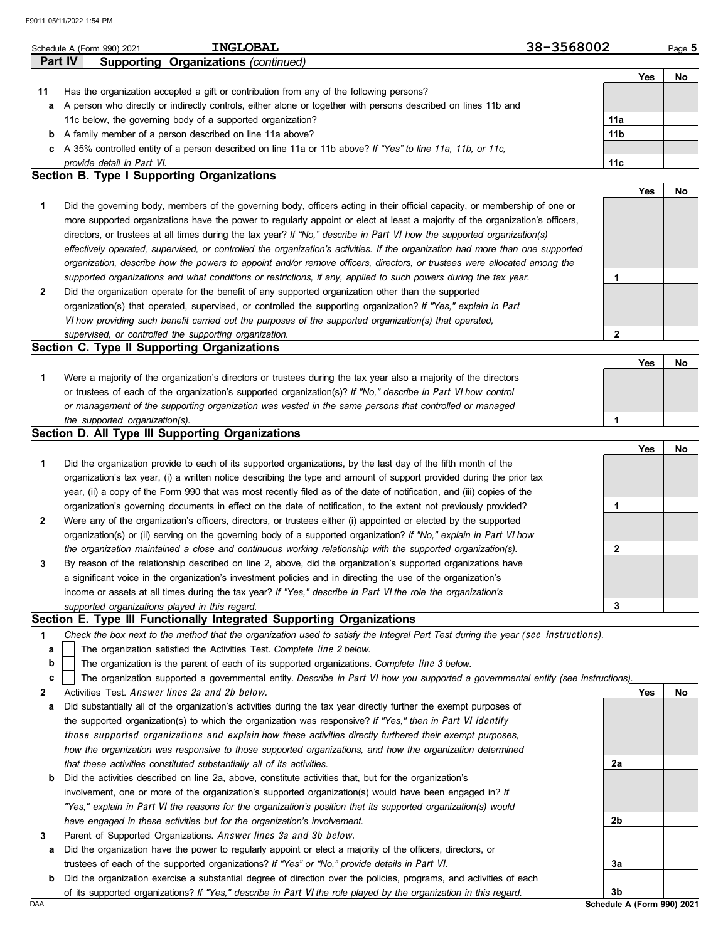|    | F9011 05/11/2022 1:54 PM                                                                                                          |                 |     |        |
|----|-----------------------------------------------------------------------------------------------------------------------------------|-----------------|-----|--------|
|    | <b>INGLOBAL</b><br>Schedule A (Form 990) 2021                                                                                     | 38-3568002      |     | Page 5 |
|    | Part IV<br><b>Supporting Organizations (continued)</b>                                                                            |                 |     |        |
|    |                                                                                                                                   |                 | Yes | No     |
| 11 | Has the organization accepted a gift or contribution from any of the following persons?                                           |                 |     |        |
|    | a A person who directly or indirectly controls, either alone or together with persons described on lines 11b and                  |                 |     |        |
|    | 11c below, the governing body of a supported organization?                                                                        | 11a             |     |        |
|    | <b>b</b> A family member of a person described on line 11a above?                                                                 | 11 <sub>b</sub> |     |        |
|    | c A 35% controlled entity of a person described on line 11a or 11b above? If "Yes" to line 11a, 11b, or 11c,                      |                 |     |        |
|    | provide detail in Part VI.                                                                                                        | 11c             |     |        |
|    | <b>Section B. Type I Supporting Organizations</b>                                                                                 |                 |     |        |
|    |                                                                                                                                   |                 | Yes | No     |
| 1  | Did the governing body, members of the governing body, officers acting in their official capacity, or membership of one or        |                 |     |        |
|    | more supported organizations have the power to regularly appoint or elect at least a majority of the organization's officers,     |                 |     |        |
|    | directors, or trustees at all times during the tax year? If "No," describe in Part VI how the supported organization(s)           |                 |     |        |
|    | effectively operated, supervised, or controlled the organization's activities. If the organization had more than one supported    |                 |     |        |
|    | organization, describe how the powers to appoint and/or remove officers, directors, or trustees were allocated among the          |                 |     |        |
|    | supported organizations and what conditions or restrictions, if any, applied to such powers during the tax year.                  | 1               |     |        |
| 2  | Did the organization operate for the benefit of any supported organization other than the supported                               |                 |     |        |
|    | organization(s) that operated, supervised, or controlled the supporting organization? If "Yes," explain in Part                   |                 |     |        |
|    |                                                                                                                                   |                 |     |        |
|    | VI how providing such benefit carried out the purposes of the supported organization(s) that operated,                            | $\overline{2}$  |     |        |
|    | supervised, or controlled the supporting organization.<br>Section C. Type II Supporting Organizations                             |                 |     |        |
|    |                                                                                                                                   |                 |     |        |
|    |                                                                                                                                   |                 | Yes | No     |
| 1  | Were a majority of the organization's directors or trustees during the tax year also a majority of the directors                  |                 |     |        |
|    | or trustees of each of the organization's supported organization(s)? If "No," describe in Part VI how control                     |                 |     |        |
|    | or management of the supporting organization was vested in the same persons that controlled or managed                            |                 |     |        |
|    | the supported organization(s).                                                                                                    | 1               |     |        |
|    | Section D. All Type III Supporting Organizations                                                                                  |                 |     |        |
|    |                                                                                                                                   |                 | Yes | No     |
| 1  | Did the organization provide to each of its supported organizations, by the last day of the fifth month of the                    |                 |     |        |
|    | organization's tax year, (i) a written notice describing the type and amount of support provided during the prior tax             |                 |     |        |
|    | year, (ii) a copy of the Form 990 that was most recently filed as of the date of notification, and (iii) copies of the            |                 |     |        |
|    | organization's governing documents in effect on the date of notification, to the extent not previously provided?                  | 1               |     |        |
| 2  | Were any of the organization's officers, directors, or trustees either (i) appointed or elected by the supported                  |                 |     |        |
|    | organization(s) or (ii) serving on the governing body of a supported organization? If "No," explain in Part VI how                |                 |     |        |
|    | the organization maintained a close and continuous working relationship with the supported organization(s).                       | 2               |     |        |
| 3  | By reason of the relationship described on line 2, above, did the organization's supported organizations have                     |                 |     |        |
|    | a significant voice in the organization's investment policies and in directing the use of the organization's                      |                 |     |        |
|    | income or assets at all times during the tax year? If "Yes," describe in Part VI the role the organization's                      |                 |     |        |
|    | supported organizations played in this regard.                                                                                    | 3               |     |        |
|    | Section E. Type III Functionally Integrated Supporting Organizations                                                              |                 |     |        |
| 1  | Check the box next to the method that the organization used to satisfy the Integral Part Test during the year (see instructions). |                 |     |        |
| а  | The organization satisfied the Activities Test. Complete line 2 below.                                                            |                 |     |        |
| b  | The organization is the parent of each of its supported organizations. Complete line 3 below.                                     |                 |     |        |
| с  | The organization supported a governmental entity. Describe in Part VI how you supported a governmental entity (see instructions). |                 |     |        |
| 2  | Activities Test. Answer lines 2a and 2b below.                                                                                    |                 | Yes | No     |
| а  | Did substantially all of the organization's activities during the tax year directly further the exempt purposes of                |                 |     |        |
|    |                                                                                                                                   |                 |     |        |

| a Did substantially all of the organization's activities during the tax year directly further the exempt purposes of |
|----------------------------------------------------------------------------------------------------------------------|
| the supported organization(s) to which the organization was responsive? If "Yes," then in Part VI identify           |
| those supported organizations and explain how these activities directly furthered their exempt purposes,             |
| how the organization was responsive to those supported organizations, and how the organization determined            |
| that these activities constituted substantially all of its activities.                                               |
| h Did the estimities described on line 20 above constitute estimities that but for the examination's                 |

| <b>b</b> Did the activities described on line 2a, above, constitute activities that, but for the organization's |
|-----------------------------------------------------------------------------------------------------------------|
| involvement, one or more of the organization's supported organization(s) would have been engaged in? If         |
| "Yes." explain in Part VI the reasons for the organization's position that its supported organization(s) would  |
| have engaged in these activities but for the organization's involvement.                                        |

|  | Parent of Supported Organizations. Answer lines 3a and 3b below. |  |  |  |
|--|------------------------------------------------------------------|--|--|--|
|  |                                                                  |  |  |  |

**a** Did the organization have the power to regularly appoint or elect a majority of the officers, directors, or trustees of each of the supported organizations? *If "Yes" or "No," provide details in* Part VI.

DAA **Schedule A (Form 990) 2021 b** Did the organization exercise a substantial degree of direction over the policies, programs, and activities of each of its supported organizations? *If "Yes," describe in* Part VI *the role played by the organization in this regard.*

**2a**

**2b**

**3a**

**3b**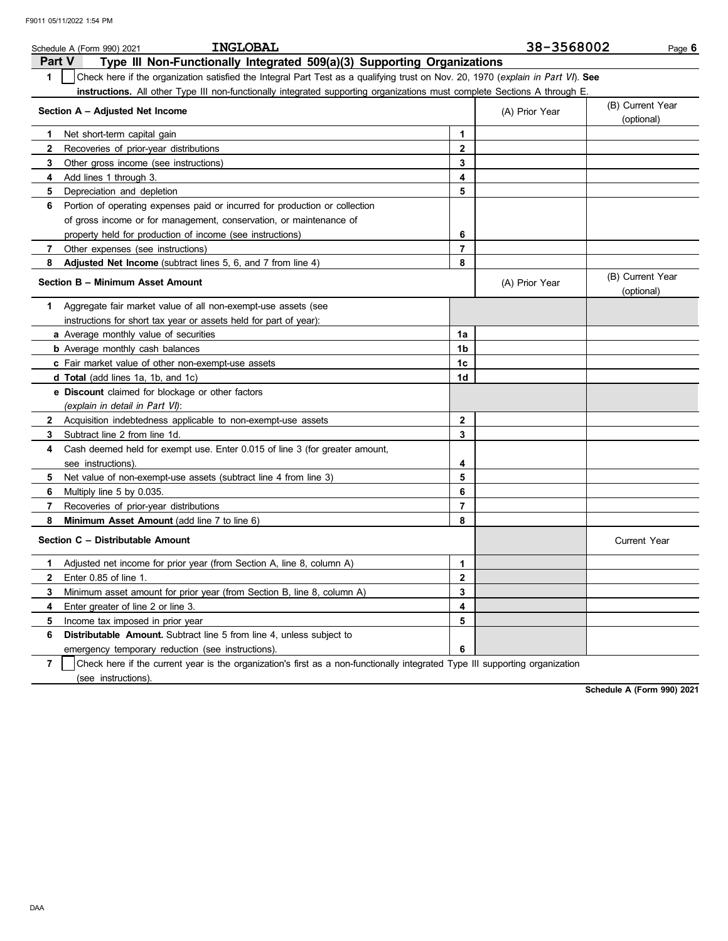| <b>INGLOBAL</b><br>Schedule A (Form 990) 2021                                                                                                    |                | 38-3568002     | Page 6                         |
|--------------------------------------------------------------------------------------------------------------------------------------------------|----------------|----------------|--------------------------------|
| <b>Part V</b><br>Type III Non-Functionally Integrated 509(a)(3) Supporting Organizations                                                         |                |                |                                |
| $\mathbf{1}$<br>Check here if the organization satisfied the Integral Part Test as a qualifying trust on Nov. 20, 1970 (explain in Part VI). See |                |                |                                |
| instructions. All other Type III non-functionally integrated supporting organizations must complete Sections A through E.                        |                |                |                                |
| Section A - Adjusted Net Income                                                                                                                  |                | (A) Prior Year | (B) Current Year<br>(optional) |
| Net short-term capital gain<br>1                                                                                                                 | 1              |                |                                |
| $\mathbf{2}$<br>Recoveries of prior-year distributions                                                                                           | 2              |                |                                |
| 3<br>Other gross income (see instructions)                                                                                                       | 3              |                |                                |
| Add lines 1 through 3.<br>4                                                                                                                      | 4              |                |                                |
| Depreciation and depletion<br>5                                                                                                                  | 5              |                |                                |
| Portion of operating expenses paid or incurred for production or collection<br>6                                                                 |                |                |                                |
| of gross income or for management, conservation, or maintenance of                                                                               |                |                |                                |
| property held for production of income (see instructions)                                                                                        | 6              |                |                                |
| $\mathbf{7}$<br>Other expenses (see instructions)                                                                                                | $\overline{7}$ |                |                                |
| Adjusted Net Income (subtract lines 5, 6, and 7 from line 4)<br>8                                                                                | 8              |                |                                |
| Section B - Minimum Asset Amount                                                                                                                 |                | (A) Prior Year | (B) Current Year<br>(optional) |
| Aggregate fair market value of all non-exempt-use assets (see<br>1.                                                                              |                |                |                                |
| instructions for short tax year or assets held for part of year):                                                                                |                |                |                                |
| a Average monthly value of securities                                                                                                            | 1a             |                |                                |
| <b>b</b> Average monthly cash balances                                                                                                           | 1b             |                |                                |
| c Fair market value of other non-exempt-use assets                                                                                               | 1c             |                |                                |
| d Total (add lines 1a, 1b, and 1c)                                                                                                               | 1d             |                |                                |
| e Discount claimed for blockage or other factors                                                                                                 |                |                |                                |
| (explain in detail in Part VI):                                                                                                                  |                |                |                                |
| 2 Acquisition indebtedness applicable to non-exempt-use assets                                                                                   | $\mathbf{2}$   |                |                                |
| Subtract line 2 from line 1d.<br>3                                                                                                               | 3              |                |                                |
| Cash deemed held for exempt use. Enter 0.015 of line 3 (for greater amount,<br>4                                                                 |                |                |                                |
| see instructions).                                                                                                                               | 4              |                |                                |
| Net value of non-exempt-use assets (subtract line 4 from line 3)<br>5                                                                            | 5              |                |                                |
| 6<br>Multiply line 5 by 0.035.                                                                                                                   | 6              |                |                                |
| 7<br>Recoveries of prior-year distributions                                                                                                      | $\overline{7}$ |                |                                |
| Minimum Asset Amount (add line 7 to line 6)<br>8                                                                                                 | 8              |                |                                |
| Section C - Distributable Amount                                                                                                                 |                |                | Current Year                   |
| Adjusted net income for prior year (from Section A, line 8, column A)<br>1.                                                                      | 1              |                |                                |
| Enter 0.85 of line 1.<br>2                                                                                                                       | $\mathbf{2}$   |                |                                |
| Minimum asset amount for prior year (from Section B, line 8, column A)<br>3                                                                      | 3              |                |                                |
| 4<br>Enter greater of line 2 or line 3.                                                                                                          | 4              |                |                                |
| 5<br>Income tax imposed in prior year                                                                                                            | 5              |                |                                |
| Distributable Amount. Subtract line 5 from line 4, unless subject to<br>6                                                                        |                |                |                                |
| emergency temporary reduction (see instructions).                                                                                                | 6              |                |                                |
| $\overline{7}$<br>Check here if the current year is the organization's first as a non-functionally integrated Type III supporting organization   |                |                |                                |

(see instructions).

**Schedule A (Form 990) 2021**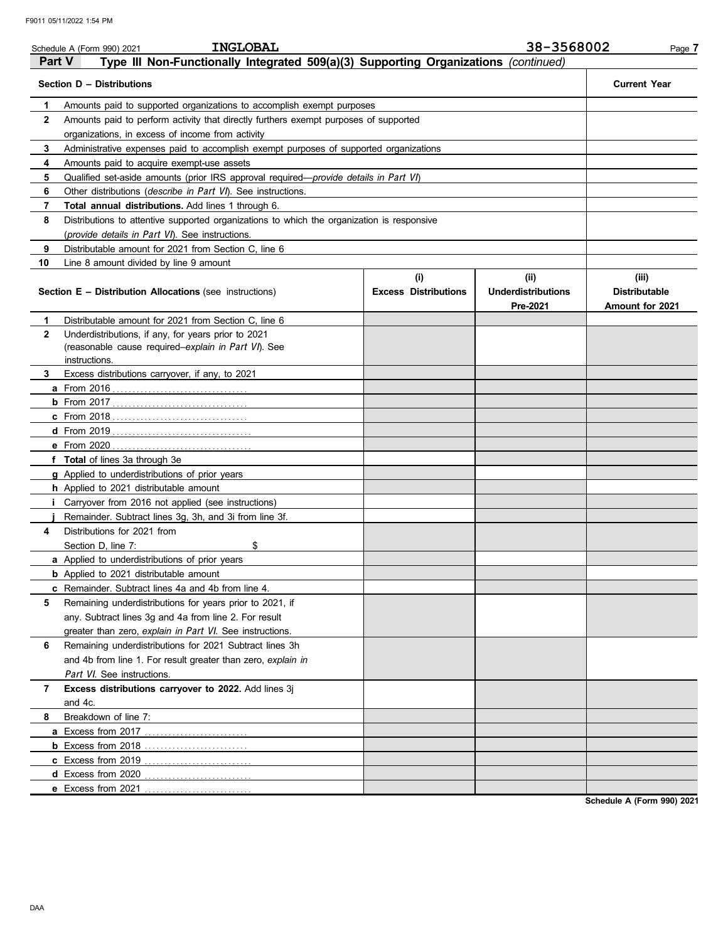|                | <b>INGLOBAL</b><br>Schedule A (Form 990) 2021                                                 |                                    | 38-3568002                                    | Page 7                                           |  |  |  |  |
|----------------|-----------------------------------------------------------------------------------------------|------------------------------------|-----------------------------------------------|--------------------------------------------------|--|--|--|--|
| Part V         | Type III Non-Functionally Integrated 509(a)(3) Supporting Organizations (continued)           |                                    |                                               |                                                  |  |  |  |  |
|                | Section D - Distributions                                                                     |                                    |                                               | <b>Current Year</b>                              |  |  |  |  |
| 1              | Amounts paid to supported organizations to accomplish exempt purposes                         |                                    |                                               |                                                  |  |  |  |  |
| $\mathbf{2}$   | Amounts paid to perform activity that directly furthers exempt purposes of supported          |                                    |                                               |                                                  |  |  |  |  |
|                | organizations, in excess of income from activity                                              |                                    |                                               |                                                  |  |  |  |  |
| 3              | Administrative expenses paid to accomplish exempt purposes of supported organizations         |                                    |                                               |                                                  |  |  |  |  |
| 4              | Amounts paid to acquire exempt-use assets                                                     |                                    |                                               |                                                  |  |  |  |  |
| 5              | Qualified set-aside amounts (prior IRS approval required— <i>provide details in Part VI</i> ) |                                    |                                               |                                                  |  |  |  |  |
| 6              | Other distributions (describe in Part VI). See instructions.                                  |                                    |                                               |                                                  |  |  |  |  |
| 7              | Total annual distributions. Add lines 1 through 6.                                            |                                    |                                               |                                                  |  |  |  |  |
| 8              | Distributions to attentive supported organizations to which the organization is responsive    |                                    |                                               |                                                  |  |  |  |  |
|                | ( <i>provide details in Part VI</i> ). See instructions.                                      |                                    |                                               |                                                  |  |  |  |  |
| 9              | Distributable amount for 2021 from Section C, line 6                                          |                                    |                                               |                                                  |  |  |  |  |
| 10             | Line 8 amount divided by line 9 amount                                                        |                                    |                                               |                                                  |  |  |  |  |
|                | <b>Section E - Distribution Allocations (see instructions)</b>                                | (i)<br><b>Excess Distributions</b> | (ii)<br><b>Underdistributions</b><br>Pre-2021 | (iii)<br><b>Distributable</b><br>Amount for 2021 |  |  |  |  |
| 1              | Distributable amount for 2021 from Section C, line 6                                          |                                    |                                               |                                                  |  |  |  |  |
| $\mathbf{2}$   | Underdistributions, if any, for years prior to 2021                                           |                                    |                                               |                                                  |  |  |  |  |
|                | (reasonable cause required-explain in Part VI). See                                           |                                    |                                               |                                                  |  |  |  |  |
|                | instructions.                                                                                 |                                    |                                               |                                                  |  |  |  |  |
| 3              | Excess distributions carryover, if any, to 2021                                               |                                    |                                               |                                                  |  |  |  |  |
|                |                                                                                               |                                    |                                               |                                                  |  |  |  |  |
|                |                                                                                               |                                    |                                               |                                                  |  |  |  |  |
|                |                                                                                               |                                    |                                               |                                                  |  |  |  |  |
|                |                                                                                               |                                    |                                               |                                                  |  |  |  |  |
|                | e From 2020                                                                                   |                                    |                                               |                                                  |  |  |  |  |
|                | f Total of lines 3a through 3e                                                                |                                    |                                               |                                                  |  |  |  |  |
|                | g Applied to underdistributions of prior years                                                |                                    |                                               |                                                  |  |  |  |  |
|                | h Applied to 2021 distributable amount                                                        |                                    |                                               |                                                  |  |  |  |  |
|                | Carryover from 2016 not applied (see instructions)                                            |                                    |                                               |                                                  |  |  |  |  |
|                | Remainder. Subtract lines 3g, 3h, and 3i from line 3f.                                        |                                    |                                               |                                                  |  |  |  |  |
| 4              | Distributions for 2021 from                                                                   |                                    |                                               |                                                  |  |  |  |  |
|                | \$<br>Section D, line 7:                                                                      |                                    |                                               |                                                  |  |  |  |  |
|                | a Applied to underdistributions of prior years                                                |                                    |                                               |                                                  |  |  |  |  |
|                | <b>b</b> Applied to 2021 distributable amount                                                 |                                    |                                               |                                                  |  |  |  |  |
|                | c Remainder. Subtract lines 4a and 4b from line 4.                                            |                                    |                                               |                                                  |  |  |  |  |
| 5              | Remaining underdistributions for years prior to 2021, if                                      |                                    |                                               |                                                  |  |  |  |  |
|                | any. Subtract lines 3g and 4a from line 2. For result                                         |                                    |                                               |                                                  |  |  |  |  |
|                | greater than zero, explain in Part VI. See instructions.                                      |                                    |                                               |                                                  |  |  |  |  |
| 6              | Remaining underdistributions for 2021 Subtract lines 3h                                       |                                    |                                               |                                                  |  |  |  |  |
|                | and 4b from line 1. For result greater than zero, explain in                                  |                                    |                                               |                                                  |  |  |  |  |
|                | Part VI. See instructions.                                                                    |                                    |                                               |                                                  |  |  |  |  |
| $\overline{7}$ | Excess distributions carryover to 2022. Add lines 3j                                          |                                    |                                               |                                                  |  |  |  |  |
|                | and 4c.                                                                                       |                                    |                                               |                                                  |  |  |  |  |
| 8              | Breakdown of line 7:                                                                          |                                    |                                               |                                                  |  |  |  |  |
|                | <b>a</b> Excess from 2017                                                                     |                                    |                                               |                                                  |  |  |  |  |
|                |                                                                                               |                                    |                                               |                                                  |  |  |  |  |
|                |                                                                                               |                                    |                                               |                                                  |  |  |  |  |
|                | d Excess from 2020                                                                            |                                    |                                               |                                                  |  |  |  |  |
|                | e Excess from 2021                                                                            |                                    |                                               |                                                  |  |  |  |  |

**Schedule A (Form 990) 2021**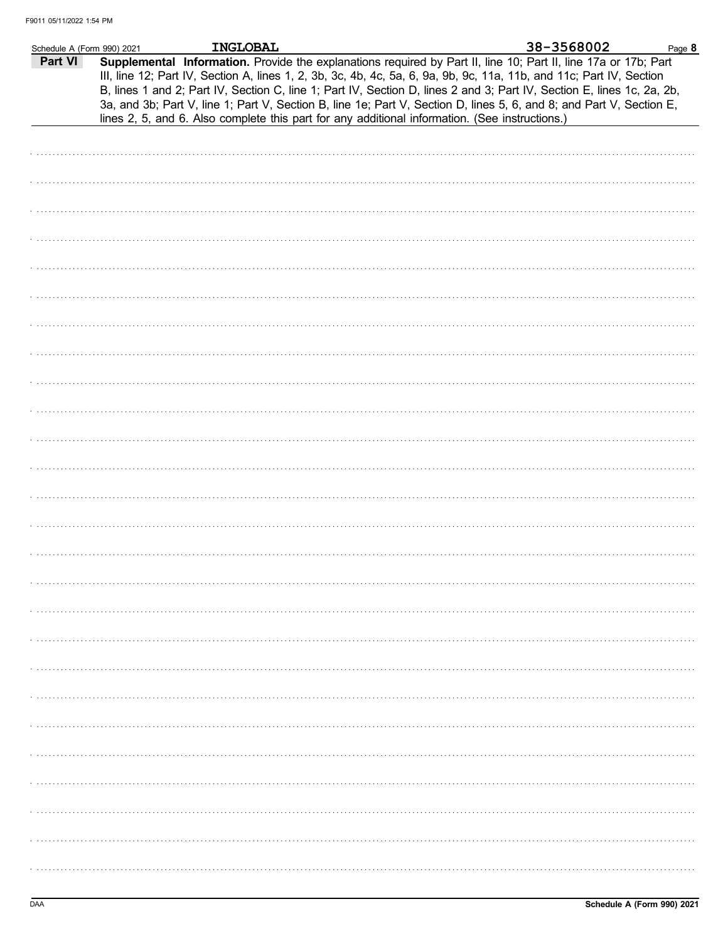| Schedule A (Form 990) 2021 | <b>INGLOBAL</b>                                                                                |  | 38-3568002                                                                                                                                                                                                                                                                                                                                                                                                                                                                                | Page 8 |
|----------------------------|------------------------------------------------------------------------------------------------|--|-------------------------------------------------------------------------------------------------------------------------------------------------------------------------------------------------------------------------------------------------------------------------------------------------------------------------------------------------------------------------------------------------------------------------------------------------------------------------------------------|--------|
| Part VI                    | lines 2, 5, and 6. Also complete this part for any additional information. (See instructions.) |  | Supplemental Information. Provide the explanations required by Part II, line 10; Part II, line 17a or 17b; Part<br>III, line 12; Part IV, Section A, lines 1, 2, 3b, 3c, 4b, 4c, 5a, 6, 9a, 9b, 9c, 11a, 11b, and 11c; Part IV, Section<br>B, lines 1 and 2; Part IV, Section C, line 1; Part IV, Section D, lines 2 and 3; Part IV, Section E, lines 1c, 2a, 2b,<br>3a, and 3b; Part V, line 1; Part V, Section B, line 1e; Part V, Section D, lines 5, 6, and 8; and Part V, Section E, |        |
|                            |                                                                                                |  |                                                                                                                                                                                                                                                                                                                                                                                                                                                                                           |        |
|                            |                                                                                                |  |                                                                                                                                                                                                                                                                                                                                                                                                                                                                                           |        |
|                            |                                                                                                |  |                                                                                                                                                                                                                                                                                                                                                                                                                                                                                           |        |
|                            |                                                                                                |  |                                                                                                                                                                                                                                                                                                                                                                                                                                                                                           |        |
|                            |                                                                                                |  |                                                                                                                                                                                                                                                                                                                                                                                                                                                                                           |        |
|                            |                                                                                                |  |                                                                                                                                                                                                                                                                                                                                                                                                                                                                                           |        |
|                            |                                                                                                |  |                                                                                                                                                                                                                                                                                                                                                                                                                                                                                           |        |
|                            |                                                                                                |  |                                                                                                                                                                                                                                                                                                                                                                                                                                                                                           |        |
|                            |                                                                                                |  |                                                                                                                                                                                                                                                                                                                                                                                                                                                                                           |        |
|                            |                                                                                                |  |                                                                                                                                                                                                                                                                                                                                                                                                                                                                                           |        |
|                            |                                                                                                |  |                                                                                                                                                                                                                                                                                                                                                                                                                                                                                           |        |
|                            |                                                                                                |  |                                                                                                                                                                                                                                                                                                                                                                                                                                                                                           |        |
|                            |                                                                                                |  |                                                                                                                                                                                                                                                                                                                                                                                                                                                                                           |        |
|                            |                                                                                                |  |                                                                                                                                                                                                                                                                                                                                                                                                                                                                                           |        |
|                            |                                                                                                |  |                                                                                                                                                                                                                                                                                                                                                                                                                                                                                           |        |
|                            |                                                                                                |  |                                                                                                                                                                                                                                                                                                                                                                                                                                                                                           |        |
|                            |                                                                                                |  |                                                                                                                                                                                                                                                                                                                                                                                                                                                                                           |        |
|                            |                                                                                                |  |                                                                                                                                                                                                                                                                                                                                                                                                                                                                                           |        |
|                            |                                                                                                |  |                                                                                                                                                                                                                                                                                                                                                                                                                                                                                           |        |
|                            |                                                                                                |  |                                                                                                                                                                                                                                                                                                                                                                                                                                                                                           |        |
|                            |                                                                                                |  |                                                                                                                                                                                                                                                                                                                                                                                                                                                                                           |        |
|                            |                                                                                                |  |                                                                                                                                                                                                                                                                                                                                                                                                                                                                                           |        |
|                            |                                                                                                |  |                                                                                                                                                                                                                                                                                                                                                                                                                                                                                           |        |
|                            |                                                                                                |  |                                                                                                                                                                                                                                                                                                                                                                                                                                                                                           |        |
|                            |                                                                                                |  |                                                                                                                                                                                                                                                                                                                                                                                                                                                                                           |        |
|                            |                                                                                                |  |                                                                                                                                                                                                                                                                                                                                                                                                                                                                                           |        |
|                            |                                                                                                |  |                                                                                                                                                                                                                                                                                                                                                                                                                                                                                           |        |
|                            |                                                                                                |  |                                                                                                                                                                                                                                                                                                                                                                                                                                                                                           |        |
|                            |                                                                                                |  |                                                                                                                                                                                                                                                                                                                                                                                                                                                                                           |        |
|                            |                                                                                                |  |                                                                                                                                                                                                                                                                                                                                                                                                                                                                                           |        |
|                            |                                                                                                |  |                                                                                                                                                                                                                                                                                                                                                                                                                                                                                           |        |
|                            |                                                                                                |  |                                                                                                                                                                                                                                                                                                                                                                                                                                                                                           |        |
|                            |                                                                                                |  |                                                                                                                                                                                                                                                                                                                                                                                                                                                                                           |        |
|                            |                                                                                                |  |                                                                                                                                                                                                                                                                                                                                                                                                                                                                                           |        |
|                            |                                                                                                |  |                                                                                                                                                                                                                                                                                                                                                                                                                                                                                           |        |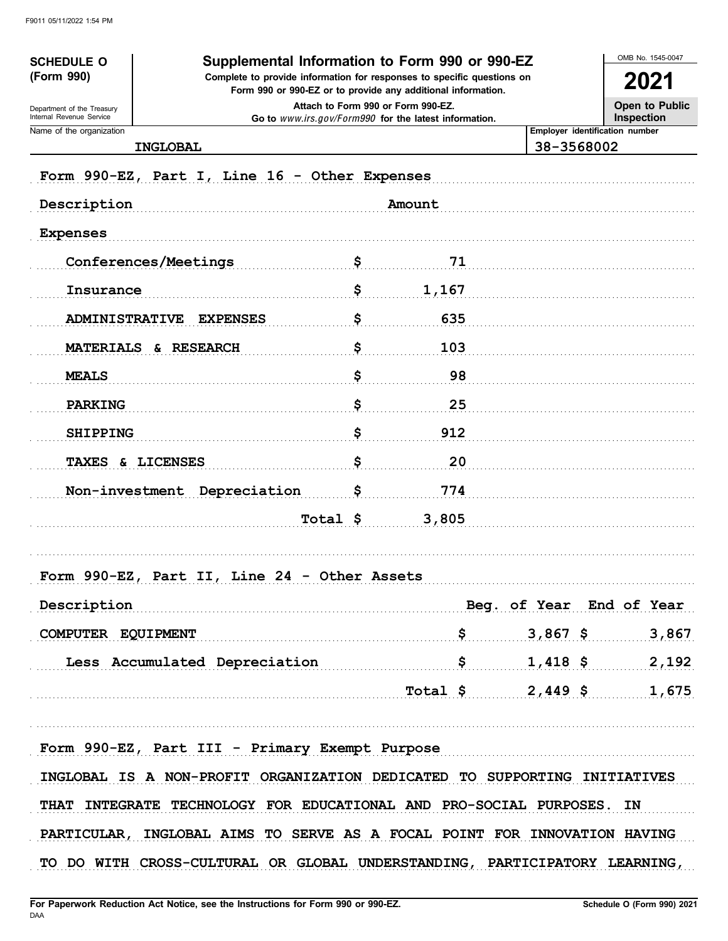| <b>SCHEDULE O</b>                                                                                             |                                                                                                                                                                                                                                | OMB No. 1545-0047 |                            |            |                                              |
|---------------------------------------------------------------------------------------------------------------|--------------------------------------------------------------------------------------------------------------------------------------------------------------------------------------------------------------------------------|-------------------|----------------------------|------------|----------------------------------------------|
| (Form 990)                                                                                                    | Supplemental Information to Form 990 or 990-EZ<br>Complete to provide information for responses to specific questions on<br>Form 990 or 990-EZ or to provide any additional information.<br>Attach to Form 990 or Form 990-EZ. |                   |                            |            |                                              |
| Department of the Treasury                                                                                    |                                                                                                                                                                                                                                |                   |                            |            |                                              |
| Internal Revenue Service<br>Go to www.irs.gov/Form990 for the latest information.<br>Name of the organization |                                                                                                                                                                                                                                |                   |                            |            | Inspection<br>Employer identification number |
| <b>INGLOBAL</b>                                                                                               |                                                                                                                                                                                                                                |                   |                            | 38-3568002 |                                              |
|                                                                                                               | Form 990-EZ, Part I, Line 16 - Other Expenses                                                                                                                                                                                  |                   |                            |            |                                              |
| Description                                                                                                   |                                                                                                                                                                                                                                |                   | Amount                     |            |                                              |
| <b>Expenses</b>                                                                                               |                                                                                                                                                                                                                                |                   |                            |            |                                              |
| Conferences/Meetings                                                                                          |                                                                                                                                                                                                                                | \$                | 71                         |            |                                              |
| Insurance                                                                                                     |                                                                                                                                                                                                                                | \$                | 1,167                      |            |                                              |
|                                                                                                               |                                                                                                                                                                                                                                |                   |                            |            |                                              |
| <b>ADMINISTRATIVE</b>                                                                                         | <b>EXPENSES</b>                                                                                                                                                                                                                | \$                | 635                        |            |                                              |
| MATERIALS & RESEARCH                                                                                          |                                                                                                                                                                                                                                | \$                | 103                        |            |                                              |
| <b>MEALS</b>                                                                                                  |                                                                                                                                                                                                                                | \$                | 98                         |            |                                              |
| <b>PARKING</b>                                                                                                |                                                                                                                                                                                                                                | \$                | 25                         |            |                                              |
| <b>SHIPPING</b>                                                                                               |                                                                                                                                                                                                                                | \$                | 912                        |            |                                              |
| TAXES & LICENSES                                                                                              |                                                                                                                                                                                                                                | \$                | 20                         |            |                                              |
|                                                                                                               | Non-investment Depreciation                                                                                                                                                                                                    | \$                | 774                        |            |                                              |
|                                                                                                               |                                                                                                                                                                                                                                | Total \$          | 3,805                      |            |                                              |
|                                                                                                               |                                                                                                                                                                                                                                |                   |                            |            |                                              |
|                                                                                                               | Form 990-EZ, Part II, Line 24 - Other Assets                                                                                                                                                                                   |                   |                            |            |                                              |
|                                                                                                               | Description Beg. of Year End of Year                                                                                                                                                                                           |                   |                            |            |                                              |
|                                                                                                               | COMPUTER EQUIPMENT $$3,867$ \$ 3,867 3.867                                                                                                                                                                                     |                   |                            |            |                                              |
|                                                                                                               |                                                                                                                                                                                                                                |                   |                            |            |                                              |
|                                                                                                               | Less Accumulated Depreciation \$ 1,418 \$ 2,192                                                                                                                                                                                |                   |                            |            |                                              |
|                                                                                                               |                                                                                                                                                                                                                                |                   | $Total \t5$ 2,449 \$ 1,675 |            |                                              |
|                                                                                                               |                                                                                                                                                                                                                                |                   |                            |            |                                              |
|                                                                                                               | Form 990-EZ, Part III - Primary Exempt Purpose                                                                                                                                                                                 |                   |                            |            |                                              |
|                                                                                                               | INGLOBAL IS A NON-PROFIT ORGANIZATION DEDICATED TO SUPPORTING INITIATIVES                                                                                                                                                      |                   |                            |            |                                              |
|                                                                                                               | THAT INTEGRATE TECHNOLOGY FOR EDUCATIONAL AND PRO-SOCIAL PURPOSES. IN                                                                                                                                                          |                   |                            |            |                                              |
|                                                                                                               | PARTICULAR, INGLOBAL AIMS TO SERVE AS A FOCAL POINT FOR INNOVATION HAVING                                                                                                                                                      |                   |                            |            |                                              |
|                                                                                                               | TO DO WITH CROSS-CULTURAL OR GLOBAL UNDERSTANDING, PARTICIPATORY LEARNING,                                                                                                                                                     |                   |                            |            |                                              |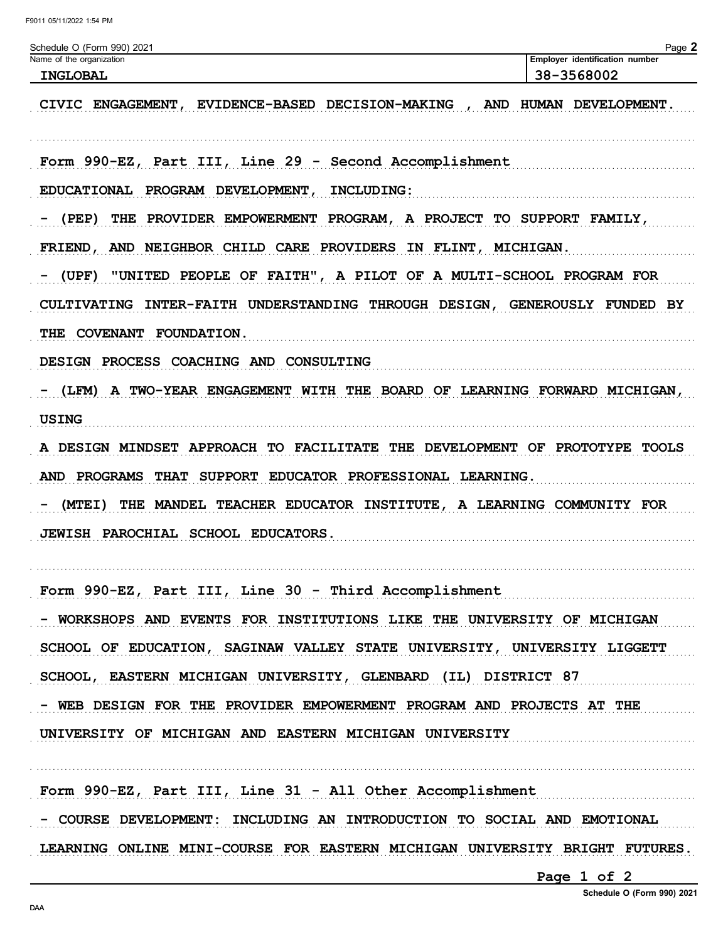| Schedule O (Form 990) 2021                                                                 | Page 2                                       |
|--------------------------------------------------------------------------------------------|----------------------------------------------|
| Name of the organization<br><b>INGLOBAL</b>                                                | Employer identification number<br>38-3568002 |
| EVIDENCE-BASED DECISION-MAKING<br>CIVIC ENGAGEMENT,<br><b>AND</b>                          | HUMAN DEVELOPMENT.                           |
| Form 990-EZ, Part III, Line 29 - Second Accomplishment                                     |                                              |
| INCLUDING:<br><b>EDUCATIONAL</b><br>PROGRAM DEVELOPMENT,                                   |                                              |
| THE PROVIDER EMPOWERMENT PROGRAM, A PROJECT TO SUPPORT FAMILY,<br>(PEP)                    |                                              |
| AND NEIGHBOR CHILD CARE PROVIDERS IN FLINT, MICHIGAN.<br><b>FRIEND,</b>                    |                                              |
| (UPF)<br>"UNITED PEOPLE OF FAITH", A PILOT OF A MULTI-SCHOOL PROGRAM FOR                   |                                              |
| INTER-FAITH UNDERSTANDING THROUGH DESIGN, GENEROUSLY FUNDED BY<br><b>CULTIVATING</b>       |                                              |
| THE COVENANT FOUNDATION.                                                                   |                                              |
| DESIGN PROCESS COACHING AND CONSULTING                                                     |                                              |
| A TWO-YEAR ENGAGEMENT WITH THE BOARD OF LEARNING FORWARD MICHIGAN,<br>(LFM)                |                                              |
| <b>USING</b>                                                                               |                                              |
| A DESIGN MINDSET APPROACH TO FACILITATE THE DEVELOPMENT OF PROTOTYPE TOOLS                 |                                              |
| PROGRAMS<br><b>SUPPORT</b><br>EDUCATOR PROFESSIONAL LEARNING.<br><b>AND</b><br><b>THAT</b> |                                              |
| THE MANDEL TEACHER EDUCATOR INSTITUTE, A LEARNING COMMUNITY FOR<br>(MTEI)                  |                                              |
| JEWISH PAROCHIAL SCHOOL EDUCATORS.                                                         |                                              |
| Form 990-EZ, Part III, Line 30 - Third Accomplishment                                      |                                              |
| - WORKSHOPS AND EVENTS FOR INSTITUTIONS LIKE THE UNIVERSITY OF MICHIGAN                    |                                              |
| SCHOOL OF EDUCATION, SAGINAW VALLEY STATE UNIVERSITY, UNIVERSITY LIGGETT                   |                                              |
| SCHOOL, EASTERN MICHIGAN UNIVERSITY, GLENBARD (IL) DISTRICT 87                             |                                              |
| - WEB DESIGN FOR THE PROVIDER EMPOWERMENT PROGRAM AND PROJECTS AT THE                      |                                              |
| UNIVERSITY OF MICHIGAN AND EASTERN MICHIGAN UNIVERSITY                                     |                                              |
| Form 990-EZ, Part III, Line 31 - All Other Accomplishment                                  |                                              |
| - COURSE DEVELOPMENT: INCLUDING AN INTRODUCTION TO SOCIAL AND EMOTIONAL                    |                                              |
| LEARNING ONLINE MINI-COURSE FOR EASTERN MICHIGAN UNIVERSITY BRIGHT FUTURES.                |                                              |

Page 1 of 2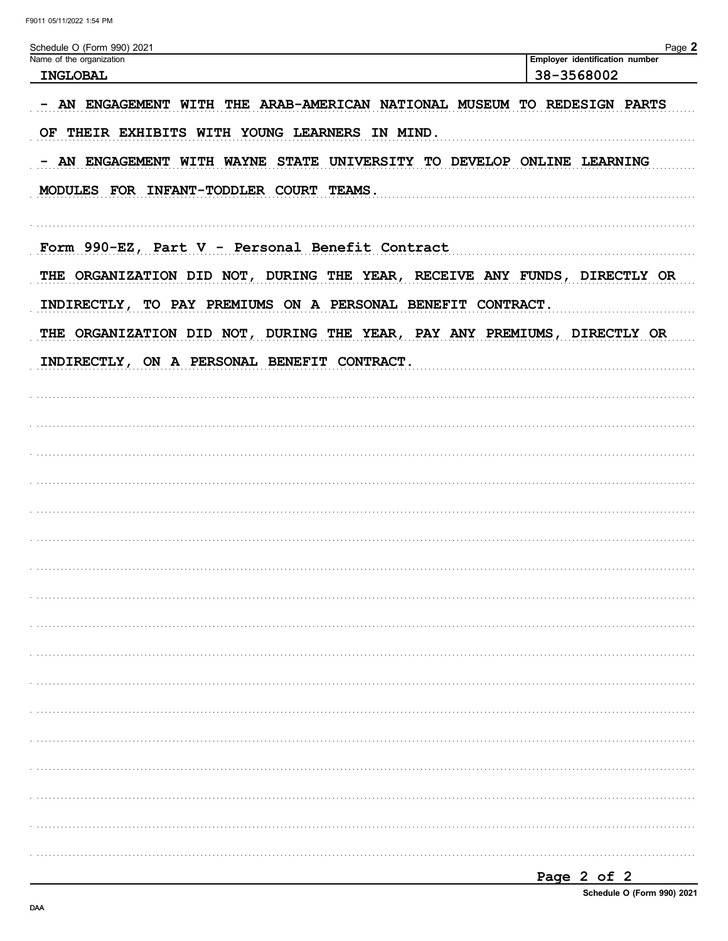| Schedule O (Form 990) 2021                                                | Page 2                         |
|---------------------------------------------------------------------------|--------------------------------|
| Name of the organization                                                  | Employer identification number |
| INGLOBAL                                                                  | 38-3568002                     |
| - AN ENGAGEMENT WITH THE ARAB-AMERICAN NATIONAL MUSEUM TO REDESIGN PARTS  |                                |
| OF THEIR EXHIBITS WITH YOUNG LEARNERS IN MIND.                            |                                |
| - AN ENGAGEMENT WITH WAYNE STATE UNIVERSITY TO DEVELOP ONLINE LEARNING    |                                |
| MODULES FOR INFANT-TODDLER COURT TEAMS.                                   |                                |
| Form 990-EZ, Part V - Personal Benefit Contract                           |                                |
| THE ORGANIZATION DID NOT, DURING THE YEAR, RECEIVE ANY FUNDS, DIRECTLY OR |                                |
| INDIRECTLY, TO PAY PREMIUMS ON A PERSONAL BENEFIT CONTRACT.               |                                |
| THE ORGANIZATION DID NOT, DURING THE YEAR, PAY ANY PREMIUMS, DIRECTLY OR  |                                |
| INDIRECTLY, ON A PERSONAL BENEFIT CONTRACT.                               |                                |
|                                                                           |                                |
|                                                                           |                                |
|                                                                           |                                |
|                                                                           |                                |
|                                                                           |                                |
|                                                                           |                                |
|                                                                           |                                |
|                                                                           |                                |
|                                                                           |                                |
|                                                                           |                                |
|                                                                           |                                |
|                                                                           |                                |
|                                                                           |                                |
|                                                                           |                                |
|                                                                           |                                |
|                                                                           |                                |
|                                                                           |                                |
|                                                                           |                                |

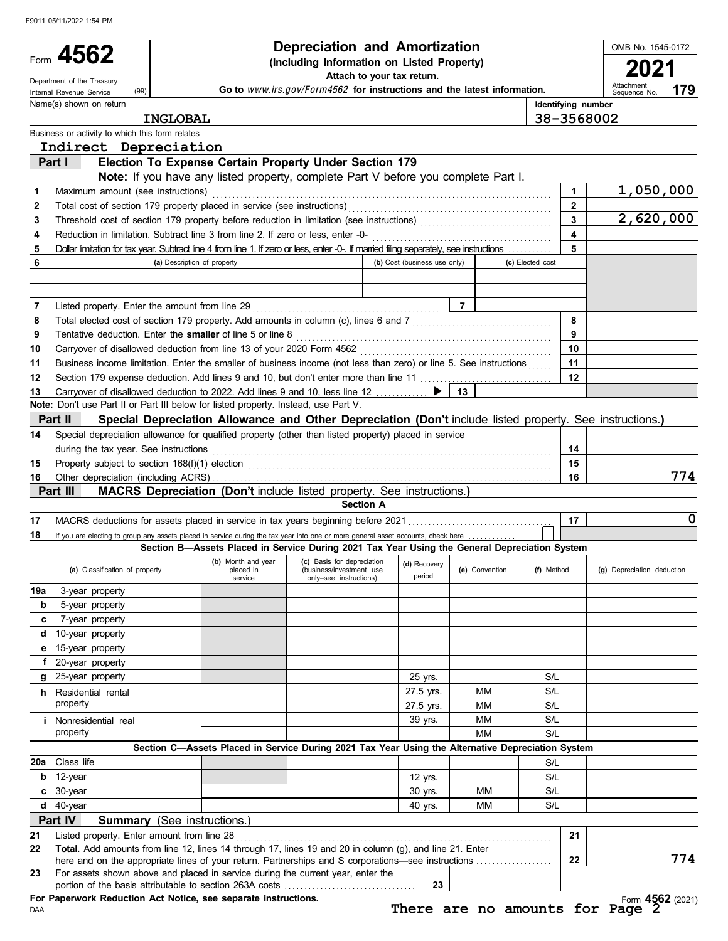Form 4562

**e d c b 19a**

**18**

**14**

**6**

| 4562                | Depreciation and Amortization                                                                                 | OMB No. 1545-0 |
|---------------------|---------------------------------------------------------------------------------------------------------------|----------------|
|                     | (Including Information on Listed Property)                                                                    | 2021           |
| ent of the Treasury | Attach to your tax return.                                                                                    |                |
|                     | A colorado de calledad (Fennand Fennand al colorado de la colorado de la colorado de la france de la colorado | Attachment     |

OMB No. 1545-0172

**(a)** Classification of property **(b)** Month and year **(c)** Basis for depreciation **(d)** Recovery **(e)** Convention **(f)** Method **(g)** Depreciation deduction **(a)** Classification of property **(b)** Depreciation deduction **(a** during the tax year. See instructions . . . . . . . . . . . . . . . . . . . . . . . . . . . . . . . . . . . . . . . . . . . . . . . . . . . . . . . . . . . . . . . . . . . . . . . . . . . . . . . . . . . . . **Identifying number** Department of the Treasury (99)<br>
Internal Revenue Service (99) **Go to** *WWW.irs.gov/Form4562* for instructions and the latest information. vonth and year (c) Basis for depreciation<br>
placed in (business/investment use<br>
service only–see instructions) period Special depreciation allowance for qualified property (other than listed property) placed in service **(a)** Description of property **(b)** Cost (business use only) **(c)** Elected cost Dollar limitation for tax year. Subtract line 4 from line 1. If zero or less, enter -0-. If married filing separately, see instructions . . . . . . . . . . . **5 5** Business or activity to which this form relates Name(s) shown on return 15-year property 10-year property 7-year property 5-year property 3-year property If you are electing to group any assets placed in service during the tax year into one or more general asset accounts, check here MACRS deductions for assets placed in service in tax years beginning before 2021 . . . . . . . . . . . . . . . . . . . . . . . . . . . . . . . . . . . . **17 17** Other depreciation (including ACRS) . . . . . . . . . . . . . . . . . . . . . . . . . . . . . . . . . . . . . . . . . . . . . . . . . . . . . . . . . . . . . . . . . . . . . . . . . . . . . . . . . . . . . **16 16** Property subject to section 168(f)(1) election . . . . . . . . . . . . . . . . . . . . . . . . . . . . . . . . . . . . . . . . . . . . . . . . . . . . . . . . . . . . . . . . . . . . . . . . . . . . **15 15** 13 Carryover of disallowed deduction to 2022. Add lines 9 and 10, less line 12 . . . . . . . . . . . . 13 Section 179 expense deduction. Add lines 9 and 10, but don't enter more than line 11 . . . . . . . . . . . . . . . . . . . . . . . . . . . . . . . . . **12 12 11** Business income limitation. Enter the smaller of business income (not less than zero) or line 5. See instructions ...... 11 Carryover of disallowed deduction from line 13 of your 2020 Form 4562 . . . . . . . . . . . . . . . . . . . . . . . . . . . . . . . . . . . . . . . . . . . . . . . . **10 10** Tentative deduction. Enter the **smaller** of line 5 or line 8 . . . . . . . . . . . . . . . . . . . . . . . . . . . . . . . . . . . . . . . . . . . . . . . . . . . . . . . . . . . . . . . . **9 9** Total elected cost of section 179 property. Add amounts in column (c), lines 6 and 7 . . . . . . . . . . . . . . . . . . . . . . . . . . . . . . . . . . . **8 8** Listed property. Enter the amount from line 29 . . . . . . . . . . . . . . . . . . . . . . . . . . . . . . . . . . . . . . . . . . . . . . . **7 7** Reduction in limitation. Subtract line 3 from line 2. If zero or less, enter -0- . . . . . . . . . . . . . . . . . . . . . . . . . . . . . . . . . . . . . . . . . . . . . **4 4** Threshold cost of section 179 property before reduction in limitation (see instructions) . . . . . . . . . . . . . . . . . . . . . . . . . . . . . . . . . **3 3** Total cost of section 179 property placed in service (see instructions) . . . . . . . . . . . . . . . . . . . . . . . . . . . . . . . . . . . . . . . . . . . . . . . . . . . **2 2** Maximum amount (see instructions) . . . . . . . . . . . . . . . . . . . . . . . . . . . . . . . . . . . . . . . . . . . . . . . . . . . . . . . . . . . . . . . . . . . . . . . . . . . . . . . . . . . . . **1 1 Section A 14 Note:** Don't use Part II or Part III below for listed property. Instead, use Part V. **Part III MACRS Depreciation (Don't include listed property. See instructions.) Part II Special Depreciation Allowance and Other Depreciation (Don't** include listed property. See instructions.**) Note:** If you have any listed property, complete Part V before you complete Part I. **Part I Election To Expense Certain Property Under Section 179 179 Section B—Assets Placed in Service During 2021 Tax Year Using the General Depreciation System** (99) **INGLOBAL 38-3568002 Indirect Depreciation 1,050,000 2,620,000 774 0**

|     | 20-year property                                                                                          |  |                                                                                                   |           |    |     |  |
|-----|-----------------------------------------------------------------------------------------------------------|--|---------------------------------------------------------------------------------------------------|-----------|----|-----|--|
| g   | 25-year property                                                                                          |  |                                                                                                   | 25 yrs.   |    | S/L |  |
| h   | Residential rental                                                                                        |  |                                                                                                   | 27.5 yrs. | MМ | S/L |  |
|     | property                                                                                                  |  |                                                                                                   | 27.5 yrs. | MМ | S/L |  |
|     | Nonresidential real                                                                                       |  |                                                                                                   | 39 yrs.   | MМ | S/L |  |
|     | property                                                                                                  |  |                                                                                                   |           | MМ | S/L |  |
|     |                                                                                                           |  | Section C-Assets Placed in Service During 2021 Tax Year Using the Alternative Depreciation System |           |    |     |  |
| 20a | Class life                                                                                                |  |                                                                                                   |           |    | S/L |  |
| b   | 12-year                                                                                                   |  |                                                                                                   | 12 yrs.   |    | S/L |  |
|     | $c$ 30-year                                                                                               |  |                                                                                                   | 30 yrs.   | MМ | S/L |  |
| d   | 40-year                                                                                                   |  |                                                                                                   | 40 yrs.   | MМ | S/L |  |
|     | Part IV<br><b>Summary</b> (See instructions.)                                                             |  |                                                                                                   |           |    |     |  |
| 21  | Listed property. Enter amount from line 28                                                                |  |                                                                                                   |           |    | 21  |  |
| つつ  | <b>Total</b> Add amounts from line 12 lines 14 through 17 lines 19 and 20 in column (g) and line 21 Enter |  |                                                                                                   |           |    |     |  |

| 22 | <b>Total.</b> Add amounts from line 12, lines 14 through 17, lines 19 and 20 in column (g), and line 21. Enter |    |  |     |     |
|----|----------------------------------------------------------------------------------------------------------------|----|--|-----|-----|
|    | here and on the appropriate lines of your return. Partnerships and S corporations—see instructions             |    |  | -22 | 774 |
| 23 | For assets shown above and placed in service during the current year, enter the                                |    |  |     |     |
|    | portion of the basis attributable to section 263A costs.                                                       | 23 |  |     |     |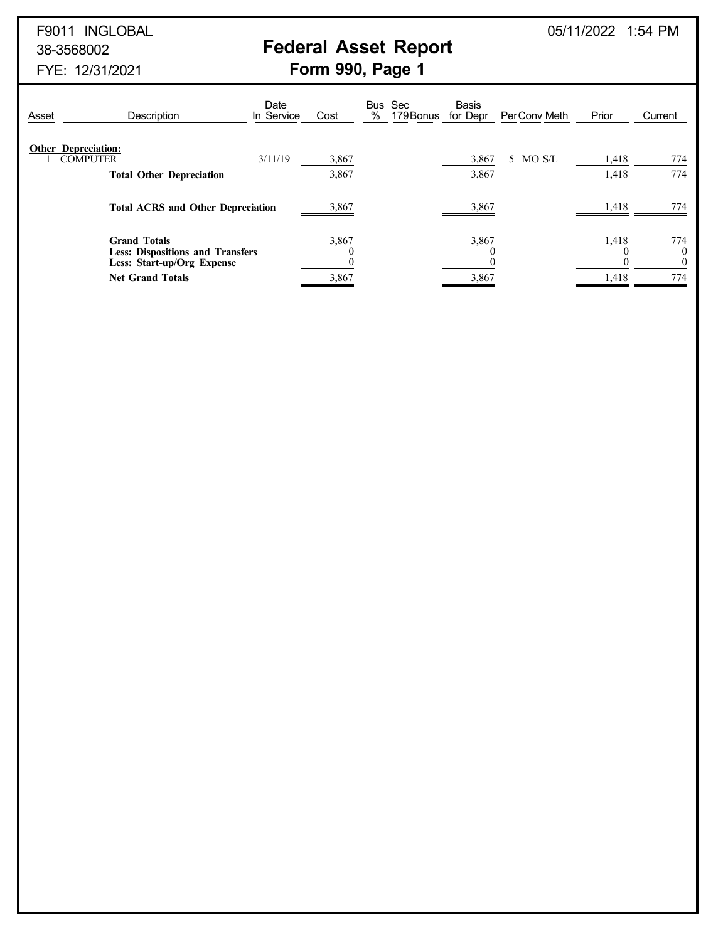# 38-3568002 **Federal Asset Report**

| Asset | Description                                                                                  | Date<br>In Service | Cost              | % | Bus Sec<br>179 Bonus | <b>Basis</b><br>for Depr | Per Conv Meth | Prior          | Current                     |
|-------|----------------------------------------------------------------------------------------------|--------------------|-------------------|---|----------------------|--------------------------|---------------|----------------|-----------------------------|
|       | <b>Other Depreciation:</b><br><b>COMPUTER</b><br><b>Total Other Depreciation</b>             | 3/11/19            | 3,867<br>3,867    |   |                      | 3,867<br>3,867           | 5 MO S/L      | 1,418<br>1,418 | 774<br>774                  |
|       | <b>Total ACRS and Other Depreciation</b>                                                     |                    |                   |   |                      | 3,867                    |               | 1,418          | 774                         |
|       | <b>Grand Totals</b><br><b>Less: Dispositions and Transfers</b><br>Less: Start-up/Org Expense |                    | 3,867<br>$\theta$ |   |                      | 3,867                    |               | 1,418          | 774<br>$\theta$<br>$\theta$ |
|       | <b>Net Grand Totals</b>                                                                      |                    | 3,867             |   |                      | 3,867                    |               | 1,418          | 774                         |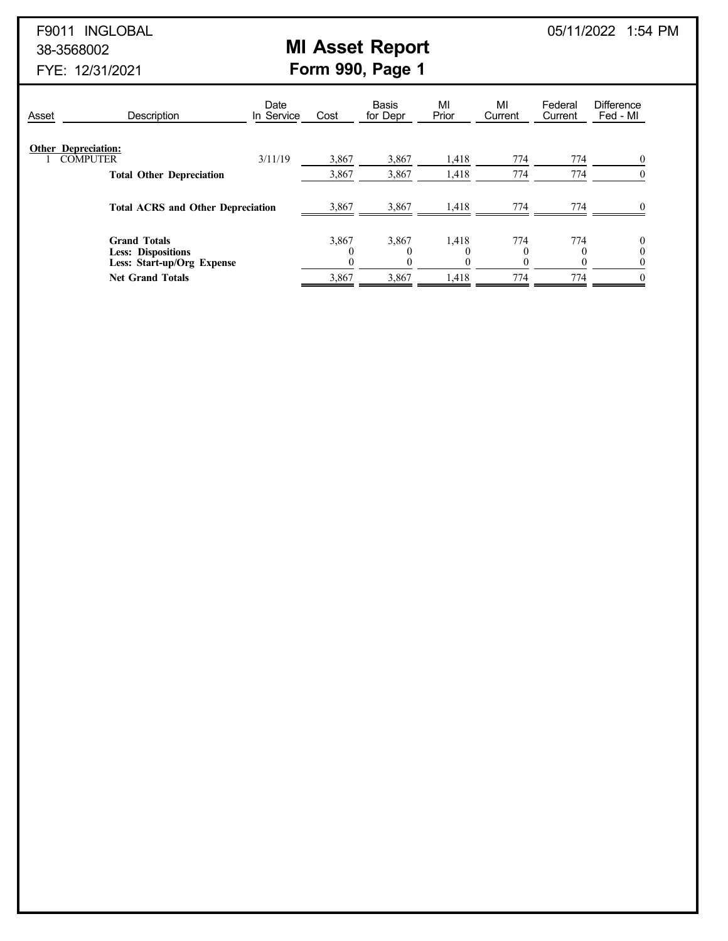# F9011 INGLOBAL 05/11/2022 1:54 PM

# 38-3568002 **MI Asset Report**

| Asset | Description                                                                    | Date<br>In Service | Cost            | <b>Basis</b><br>for Depr | MI<br>Prior | MI<br>Current | Federal<br>Current | <b>Difference</b><br>Fed - MI |
|-------|--------------------------------------------------------------------------------|--------------------|-----------------|--------------------------|-------------|---------------|--------------------|-------------------------------|
|       | <b>Other Depreciation:</b><br><b>COMPUTER</b>                                  | 3/11/19            | 3,867           | 3,867                    | 1,418       | 774           | 774                |                               |
|       | <b>Total Other Depreciation</b>                                                |                    | 3,867           | 3,867                    | 1,418       | 774           | 774                |                               |
|       | <b>Total ACRS and Other Depreciation</b>                                       |                    | 3,867           | 3,867                    | 1,418       | 774           | 774                |                               |
|       | <b>Grand Totals</b><br><b>Less: Dispositions</b><br>Less: Start-up/Org Expense |                    | 3,867<br>0<br>0 | 3,867                    | 1,418       | 774           | 774                |                               |
|       | <b>Net Grand Totals</b>                                                        |                    | 3,867           | 3,867                    | 1,418       | 774           | 774                | 0                             |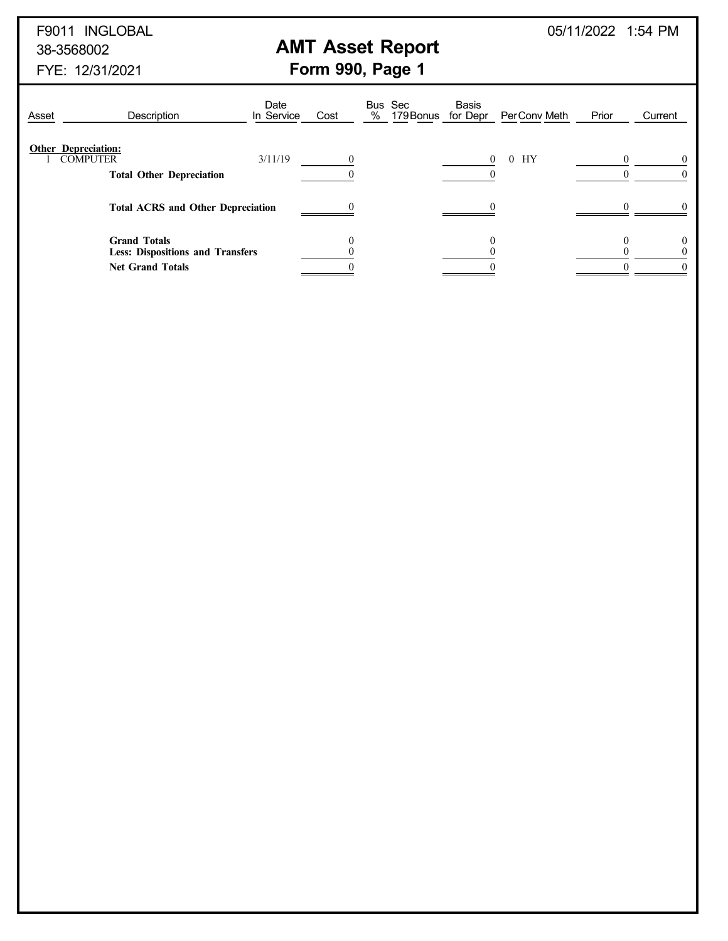## 38-3568002 **AMT Asset Report**

F9011 INGLOBAL 05/11/2022 1:54 PM

| Asset | Description                                                                               | Date<br>In Service | Cost     | Bus Sec<br>% 179 Bonus for Depr | <b>Basis</b> | Per Conv Meth        | Prior | Current |
|-------|-------------------------------------------------------------------------------------------|--------------------|----------|---------------------------------|--------------|----------------------|-------|---------|
|       | <b>Other Depreciation:</b><br><b>COMPUTER</b><br><b>Total Other Depreciation</b>          | 3/11/19            | $\Omega$ |                                 | $\Omega$     | НY<br>$\overline{0}$ |       |         |
|       | <b>Total ACRS and Other Depreciation</b>                                                  |                    |          |                                 |              |                      |       |         |
|       | <b>Grand Totals</b><br><b>Less: Dispositions and Transfers</b><br><b>Net Grand Totals</b> |                    |          |                                 |              |                      |       |         |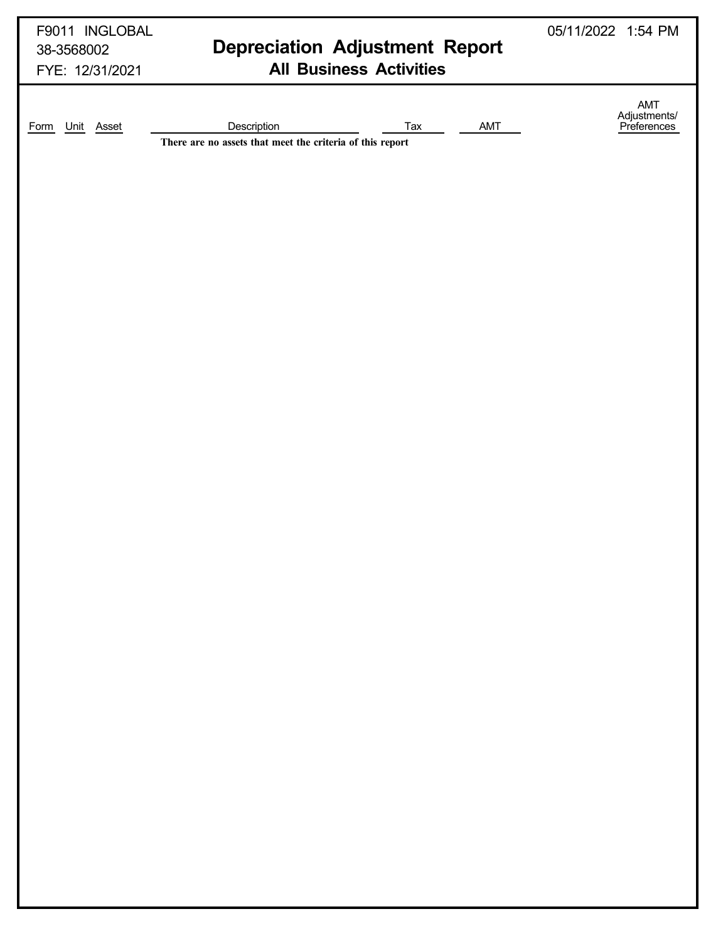| F9011 INGLOBAL<br>38-3568002<br>FYE: 12/31/2021 | <b>Depreciation Adjustment Report</b><br><b>All Business Activities</b>                | 05/11/2022 1:54 PM                 |
|-------------------------------------------------|----------------------------------------------------------------------------------------|------------------------------------|
| Unit Asset<br>Form                              | Description<br>AMT<br>Tax<br>There are no assets that meet the criteria of this report | AMT<br>Adjustments/<br>Preferences |
|                                                 |                                                                                        |                                    |
|                                                 |                                                                                        |                                    |
|                                                 |                                                                                        |                                    |
|                                                 |                                                                                        |                                    |
|                                                 |                                                                                        |                                    |
|                                                 |                                                                                        |                                    |
|                                                 |                                                                                        |                                    |
|                                                 |                                                                                        |                                    |
|                                                 |                                                                                        |                                    |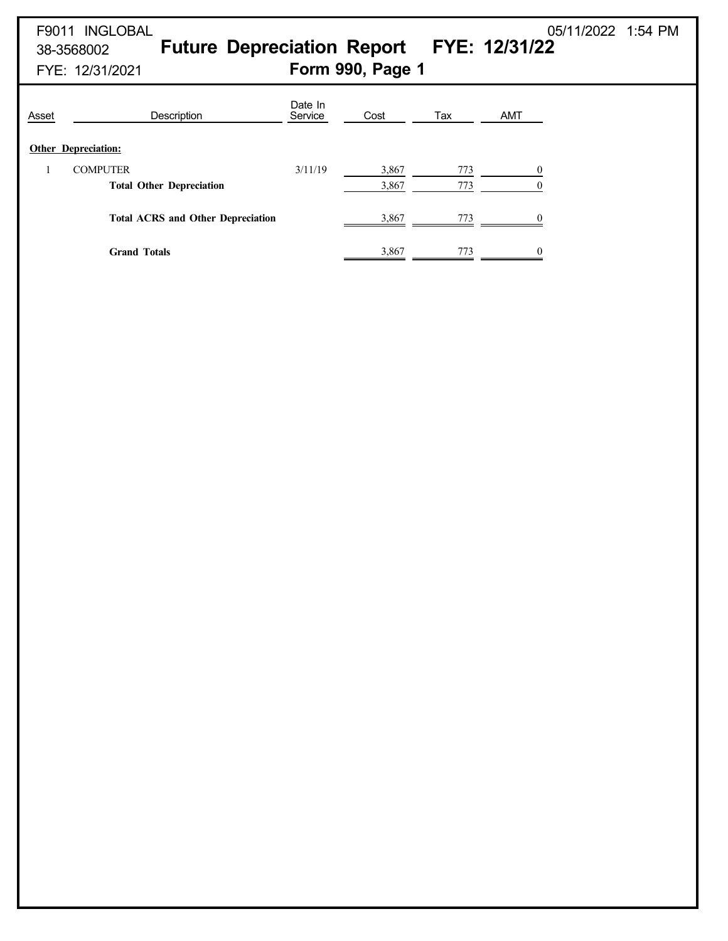| F9011 INGLOBAL                           |                                                                                  |         |                                                     |                  | 05/11/2022 1:54 PM              |  |  |
|------------------------------------------|----------------------------------------------------------------------------------|---------|-----------------------------------------------------|------------------|---------------------------------|--|--|
| 38-3568002                               |                                                                                  |         |                                                     |                  |                                 |  |  |
| Form 990, Page 1<br>FYE: 12/31/2021      |                                                                                  |         |                                                     |                  |                                 |  |  |
| Description                              | Date In<br>Service                                                               | Cost    | Tax                                                 | AMT              |                                 |  |  |
|                                          |                                                                                  |         |                                                     |                  |                                 |  |  |
|                                          |                                                                                  |         |                                                     |                  |                                 |  |  |
|                                          |                                                                                  |         |                                                     | $\mathbf{0}$     |                                 |  |  |
|                                          |                                                                                  |         |                                                     |                  |                                 |  |  |
| <b>Total ACRS and Other Depreciation</b> |                                                                                  | 3,867   | 773                                                 | $\boldsymbol{0}$ |                                 |  |  |
| <b>Grand Totals</b>                      |                                                                                  | 3,867   | 773                                                 | $\overline{0}$   |                                 |  |  |
|                                          |                                                                                  |         |                                                     |                  |                                 |  |  |
|                                          |                                                                                  |         |                                                     |                  |                                 |  |  |
|                                          |                                                                                  |         |                                                     |                  |                                 |  |  |
|                                          |                                                                                  |         |                                                     |                  |                                 |  |  |
|                                          |                                                                                  |         |                                                     |                  |                                 |  |  |
|                                          |                                                                                  |         |                                                     |                  |                                 |  |  |
|                                          |                                                                                  |         |                                                     |                  |                                 |  |  |
|                                          |                                                                                  |         |                                                     |                  |                                 |  |  |
|                                          |                                                                                  |         |                                                     |                  |                                 |  |  |
|                                          |                                                                                  |         |                                                     |                  |                                 |  |  |
|                                          |                                                                                  |         |                                                     |                  |                                 |  |  |
|                                          |                                                                                  |         |                                                     |                  |                                 |  |  |
|                                          |                                                                                  |         |                                                     |                  |                                 |  |  |
|                                          |                                                                                  |         |                                                     |                  |                                 |  |  |
|                                          | <b>Other Depreciation:</b><br><b>COMPUTER</b><br><b>Total Other Depreciation</b> | 3/11/19 | <b>Future Depreciation Report</b><br>3,867<br>3,867 | 773<br>773       | FYE: 12/31/22<br>$\overline{0}$ |  |  |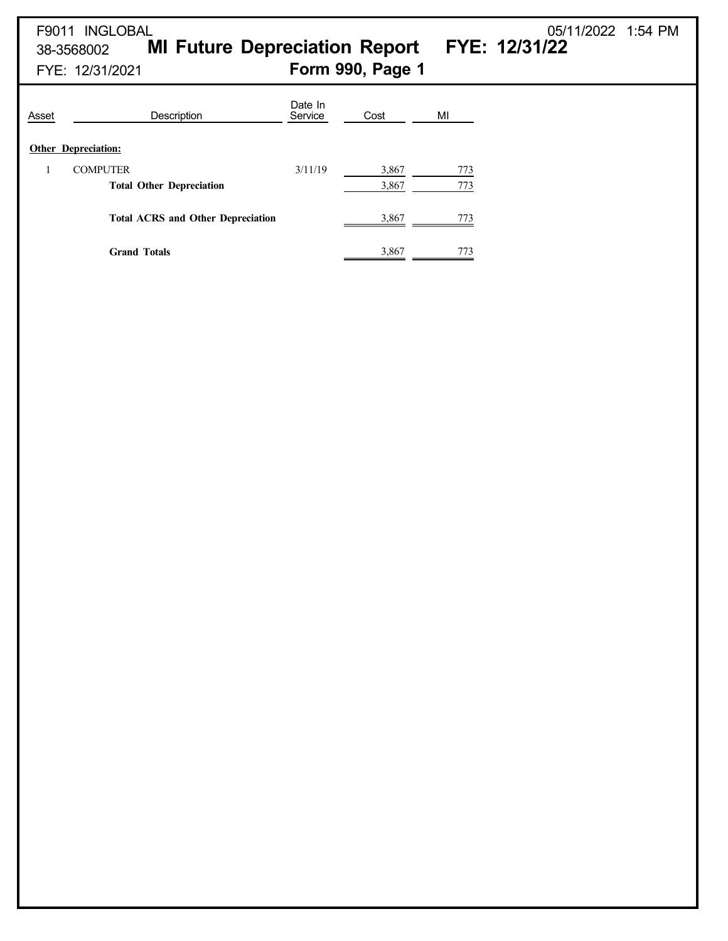38-3568002 **MI Future Depreciation Report FYE: 12/31/22**

F9011 INGLOBAL 05/11/2022 1:54 PM

| Asset | Description                              | Date In<br>Service | Cost  | MI  |
|-------|------------------------------------------|--------------------|-------|-----|
|       | <b>Other Depreciation:</b>               |                    |       |     |
| 1     | <b>COMPUTER</b>                          | 3/11/19            | 3,867 | 773 |
|       | <b>Total Other Depreciation</b>          |                    | 3,867 | 773 |
|       | <b>Total ACRS and Other Depreciation</b> |                    | 3,867 | 773 |
|       | <b>Grand Totals</b>                      |                    | 3,867 | 773 |